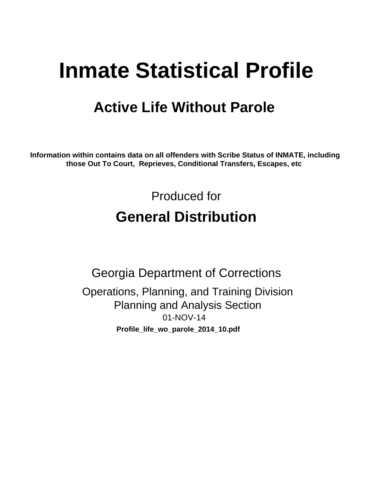# **Inmate Statistical Profile**

# **Active Life Without Parole**

Information within contains data on all offenders with Scribe Status of INMATE, including those Out To Court, Reprieves, Conditional Transfers, Escapes, etc

> Produced for **General Distribution**

**Georgia Department of Corrections** Operations, Planning, and Training Division **Planning and Analysis Section** 01-NOV-14 Profile\_life\_wo\_parole\_2014\_10.pdf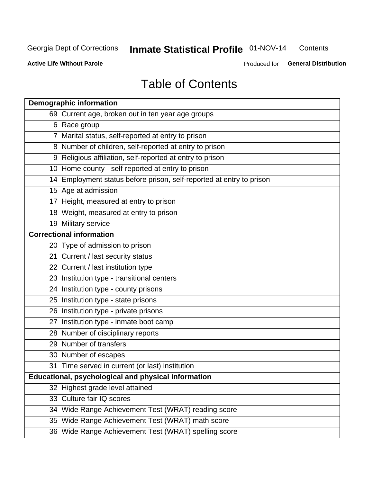#### Inmate Statistical Profile 01-NOV-14 Contents

**Active Life Without Parole** 

Produced for General Distribution

# **Table of Contents**

| <b>Demographic information</b>                                       |
|----------------------------------------------------------------------|
| 69 Current age, broken out in ten year age groups                    |
| 6 Race group                                                         |
| 7 Marital status, self-reported at entry to prison                   |
| 8 Number of children, self-reported at entry to prison               |
| 9 Religious affiliation, self-reported at entry to prison            |
| 10 Home county - self-reported at entry to prison                    |
| 14 Employment status before prison, self-reported at entry to prison |
| 15 Age at admission                                                  |
| 17 Height, measured at entry to prison                               |
| 18 Weight, measured at entry to prison                               |
| 19 Military service                                                  |
| <b>Correctional information</b>                                      |
| 20 Type of admission to prison                                       |
| 21 Current / last security status                                    |
| 22 Current / last institution type                                   |
| 23 Institution type - transitional centers                           |
| 24 Institution type - county prisons                                 |
| 25 Institution type - state prisons                                  |
| 26 Institution type - private prisons                                |
| 27 Institution type - inmate boot camp                               |
| 28 Number of disciplinary reports                                    |
| 29 Number of transfers                                               |
| 30 Number of escapes                                                 |
| 31 Time served in current (or last) institution                      |
| <b>Educational, psychological and physical information</b>           |
| 32 Highest grade level attained                                      |
| 33 Culture fair IQ scores                                            |
| 34 Wide Range Achievement Test (WRAT) reading score                  |
| 35 Wide Range Achievement Test (WRAT) math score                     |
| 36 Wide Range Achievement Test (WRAT) spelling score                 |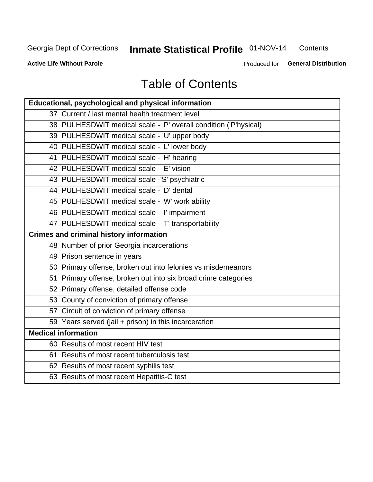#### Inmate Statistical Profile 01-NOV-14 Contents

**Active Life Without Parole** 

Produced for General Distribution

# **Table of Contents**

| <b>Educational, psychological and physical information</b>       |
|------------------------------------------------------------------|
| 37 Current / last mental health treatment level                  |
| 38 PULHESDWIT medical scale - 'P' overall condition ('P'hysical) |
| 39 PULHESDWIT medical scale - 'U' upper body                     |
| 40 PULHESDWIT medical scale - 'L' lower body                     |
| 41 PULHESDWIT medical scale - 'H' hearing                        |
| 42 PULHESDWIT medical scale - 'E' vision                         |
| 43 PULHESDWIT medical scale -'S' psychiatric                     |
| 44 PULHESDWIT medical scale - 'D' dental                         |
| 45 PULHESDWIT medical scale - 'W' work ability                   |
| 46 PULHESDWIT medical scale - 'I' impairment                     |
| 47 PULHESDWIT medical scale - 'T' transportability               |
| <b>Crimes and criminal history information</b>                   |
| 48 Number of prior Georgia incarcerations                        |
| 49 Prison sentence in years                                      |
| 50 Primary offense, broken out into felonies vs misdemeanors     |
| 51 Primary offense, broken out into six broad crime categories   |
| 52 Primary offense, detailed offense code                        |
| 53 County of conviction of primary offense                       |
| 57 Circuit of conviction of primary offense                      |
| 59 Years served (jail + prison) in this incarceration            |
| <b>Medical information</b>                                       |
| 60 Results of most recent HIV test                               |
| 61 Results of most recent tuberculosis test                      |
| 62 Results of most recent syphilis test                          |
| 63 Results of most recent Hepatitis-C test                       |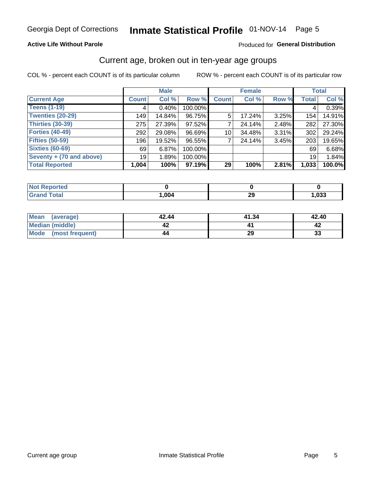### **Active Life Without Parole**

### Produced for General Distribution

### Current age, broken out in ten-year age groups

COL % - percent each COUNT is of its particular column

|                          |              | <b>Male</b> |           |                    | <b>Female</b> |          |              | <b>Total</b> |
|--------------------------|--------------|-------------|-----------|--------------------|---------------|----------|--------------|--------------|
| <b>Current Age</b>       | <b>Count</b> | Col %       | Row %     | Count <sup>'</sup> | Col %         | Row %    | <b>Total</b> | Col %        |
| <b>Teens (1-19)</b>      | 4            | $0.40\%$    | 100.00%   |                    |               |          | 4            | 0.39%        |
| <b>Twenties (20-29)</b>  | 149          | 14.84%      | 96.75%    | 5                  | 17.24%        | $3.25\%$ | 154          | 14.91%       |
| Thirties (30-39)         | 275          | 27.39%      | 97.52%    |                    | 24.14%        | $2.48\%$ | 282          | 27.30%       |
| <b>Forties (40-49)</b>   | 292          | 29.08%      | 96.69%    | 10                 | 34.48%        | 3.31%    | 302          | 29.24%       |
| <b>Fifties (50-59)</b>   | 196          | 19.52%      | 96.55%    |                    | 24.14%        | 3.45%    | 203          | 19.65%       |
| <b>Sixties (60-69)</b>   | 69           | 6.87%       | 100.00%   |                    |               |          | 69           | 6.68%        |
| Seventy + (70 and above) | 19           | 1.89%       | 100.00%   |                    |               |          | 19           | 1.84%        |
| <b>Total Reported</b>    | 1,004        | 100%        | $97.19\%$ | 29                 | 100%          | 2.81%    | 1,033        | 100.0%       |

| <b>Example of the state of the state of the state of the state of the state of the state of the state of the state</b> |      |           |      |
|------------------------------------------------------------------------------------------------------------------------|------|-----------|------|
| $f \wedge f \wedge f$                                                                                                  | ,004 | nr.<br>LJ | ,033 |

| Mean<br>(average)      | 42.44 | 41.34 | 42.40 |
|------------------------|-------|-------|-------|
| <b>Median (middle)</b> |       |       |       |
| Mode (most frequent)   | 44    | 29    | 33    |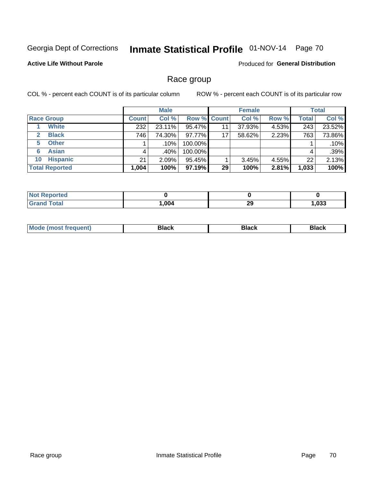# Inmate Statistical Profile 01-NOV-14 Page 70

### **Active Life Without Parole**

Produced for General Distribution

### Race group

COL % - percent each COUNT is of its particular column

|                              | <b>Male</b>  |        |         | <b>Female</b>      |        |       | <b>Total</b> |        |
|------------------------------|--------------|--------|---------|--------------------|--------|-------|--------------|--------|
| <b>Race Group</b>            | <b>Count</b> | Col %  |         | <b>Row % Count</b> | Col %  | Row % | <b>Total</b> | Col %  |
| <b>White</b>                 | 232          | 23.11% | 95.47%  | 11                 | 37.93% | 4.53% | 243          | 23.52% |
| <b>Black</b><br>$\mathbf{2}$ | 746          | 74.30% | 97.77%  | 17                 | 58.62% | 2.23% | 763          | 73.86% |
| <b>Other</b><br>5.           |              | .10%   | 100.00% |                    |        |       |              | .10%   |
| <b>Asian</b><br>6            | 4            | .40%   | 100.00% |                    |        |       | 4            | .39%   |
| <b>Hispanic</b><br>10        | 21           | 2.09%  | 95.45%  |                    | 3.45%  | 4.55% | 22           | 2.13%  |
| <b>Total Reported</b>        | 1,004        | 100%   | 97.19%  | 29                 | 100%   | 2.81% | 1,033        | 100%   |

| -----<br>rreo<br><b>N</b> |      |          |      |
|---------------------------|------|----------|------|
| $T0+0$                    | ,004 | nr<br>23 | ,033 |

| –•••• |  | M |  |  |  |
|-------|--|---|--|--|--|
|-------|--|---|--|--|--|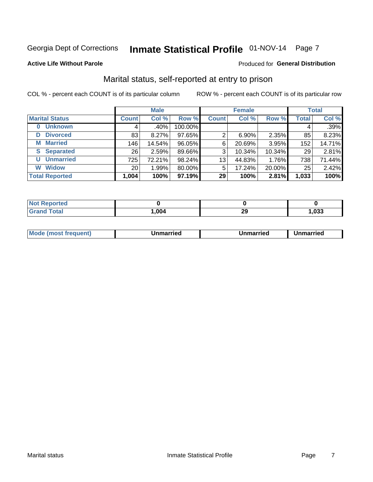# Inmate Statistical Profile 01-NOV-14 Page 7

### **Active Life Without Parole**

### **Produced for General Distribution**

### Marital status, self-reported at entry to prison

COL % - percent each COUNT is of its particular column

|                            | <b>Male</b>     |         |         | <b>Female</b> |          |        | <b>Total</b> |        |
|----------------------------|-----------------|---------|---------|---------------|----------|--------|--------------|--------|
| <b>Marital Status</b>      | <b>Count</b>    | Col %   | Row %   | <b>Count</b>  | Col %    | Row %  | <b>Total</b> | Col %  |
| <b>Unknown</b><br>$\bf{0}$ | 4               | $.40\%$ | 100.00% |               |          |        | 4            | .39%   |
| <b>Divorced</b><br>D       | 83              | 8.27%   | 97.65%  | 2             | $6.90\%$ | 2.35%  | 85           | 8.23%  |
| <b>Married</b><br>М        | 146             | 14.54%  | 96.05%  | 6             | 20.69%   | 3.95%  | 152          | 14.71% |
| <b>Separated</b><br>S      | 26              | 2.59%   | 89.66%  | 3             | 10.34%   | 10.34% | 29           | 2.81%  |
| <b>Unmarried</b><br>U      | 725             | 72.21%  | 98.24%  | 13            | 44.83%   | 1.76%  | 738          | 71.44% |
| <b>Widow</b><br>W          | 20 <sub>1</sub> | 1.99%   | 80.00%  | 5             | 17.24%   | 20.00% | 25           | 2.42%  |
| <b>Total Reported</b>      | 1,004           | 100%    | 97.19%  | 29            | 100%     | 2.81%  | 1,033        | 100%   |

| <b>Not Reported</b> |      |   |      |
|---------------------|------|---|------|
| <b>Total</b>        | ,004 | ົ | ,033 |

|  | M | . | Unmarried | າmarried<br>_____ |
|--|---|---|-----------|-------------------|
|--|---|---|-----------|-------------------|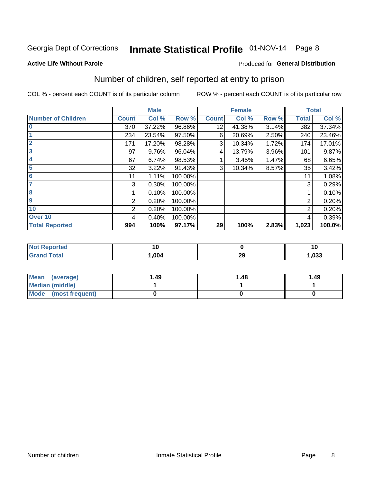# Inmate Statistical Profile 01-NOV-14 Page 8

#### **Active Life Without Parole**

### Produced for General Distribution

# Number of children, self reported at entry to prison

COL % - percent each COUNT is of its particular column

|                           |              | <b>Male</b> |         |              | <b>Female</b> |       |              | <b>Total</b> |
|---------------------------|--------------|-------------|---------|--------------|---------------|-------|--------------|--------------|
| <b>Number of Children</b> | <b>Count</b> | Col %       | Row %   | <b>Count</b> | Col %         | Row % | <b>Total</b> | Col %        |
| $\overline{\mathbf{0}}$   | 370          | 37.22%      | 96.86%  | 12           | 41.38%        | 3.14% | 382          | 37.34%       |
|                           | 234          | 23.54%      | 97.50%  | 6            | 20.69%        | 2.50% | 240          | 23.46%       |
| $\overline{2}$            | 171          | 17.20%      | 98.28%  | 3            | 10.34%        | 1.72% | 174          | 17.01%       |
| $\overline{3}$            | 97           | 9.76%       | 96.04%  | 4            | 13.79%        | 3.96% | 101          | 9.87%        |
| 4                         | 67           | 6.74%       | 98.53%  |              | 3.45%         | 1.47% | 68           | 6.65%        |
| 5                         | 32           | 3.22%       | 91.43%  | 3            | 10.34%        | 8.57% | 35           | 3.42%        |
| 6                         | 11           | 1.11%       | 100.00% |              |               |       | 11           | 1.08%        |
| 7                         | 3            | 0.30%       | 100.00% |              |               |       | 3            | 0.29%        |
| 8                         |              | 0.10%       | 100.00% |              |               |       |              | 0.10%        |
| 9                         | 2            | 0.20%       | 100.00% |              |               |       | 2            | 0.20%        |
| 10                        | 2            | 0.20%       | 100.00% |              |               |       | 2            | 0.20%        |
| Over 10                   | 4            | 0.40%       | 100.00% |              |               |       | 4            | 0.39%        |
| <b>Total Reported</b>     | 994          | 100%        | 97.17%  | 29           | 100%          | 2.83% | 1,023        | 100.0%       |

| neo | v    |            | v    |
|-----|------|------------|------|
|     | .004 | or.<br>-43 | ,033 |

| Mean<br>(average)              | 1.49 | 1.48 | 1.49 |
|--------------------------------|------|------|------|
| <b>Median (middle)</b>         |      |      |      |
| <b>Mode</b><br>(most frequent) |      |      |      |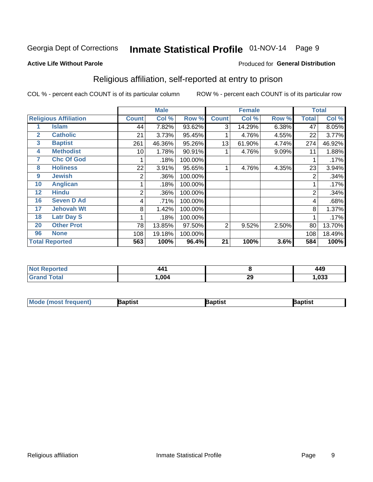# Inmate Statistical Profile 01-NOV-14 Page 9

#### **Active Life Without Parole**

### Produced for General Distribution

### Religious affiliation, self-reported at entry to prison

COL % - percent each COUNT is of its particular column

|              |                              |                | <b>Male</b> |         |                | <b>Female</b> |       |       | <b>Total</b> |
|--------------|------------------------------|----------------|-------------|---------|----------------|---------------|-------|-------|--------------|
|              | <b>Religious Affiliation</b> | <b>Count</b>   | Col %       | Row %   | <b>Count</b>   | Col %         | Row % | Total | Col %        |
|              | Islam                        | 44             | 7.82%       | 93.62%  | 3              | 14.29%        | 6.38% | 47    | 8.05%        |
| $\mathbf{2}$ | <b>Catholic</b>              | 21             | 3.73%       | 95.45%  |                | 4.76%         | 4.55% | 22    | 3.77%        |
| 3            | <b>Baptist</b>               | 261            | 46.36%      | 95.26%  | 13             | 61.90%        | 4.74% | 274   | 46.92%       |
| 4            | <b>Methodist</b>             | 10             | 1.78%       | 90.91%  |                | 4.76%         | 9.09% | 11    | 1.88%        |
| 7            | <b>Chc Of God</b>            |                | .18%        | 100.00% |                |               |       |       | .17%         |
| 8            | <b>Holiness</b>              | 22             | 3.91%       | 95.65%  |                | 4.76%         | 4.35% | 23    | 3.94%        |
| 9            | <b>Jewish</b>                | 2              | .36%        | 100.00% |                |               |       | 2     | .34%         |
| 10           | <b>Anglican</b>              |                | .18%        | 100.00% |                |               |       |       | .17%         |
| 12           | <b>Hindu</b>                 | $\overline{2}$ | .36%        | 100.00% |                |               |       | 2     | .34%         |
| 16           | <b>Seven D Ad</b>            | 4              | .71%        | 100.00% |                |               |       | 4     | .68%         |
| 17           | <b>Jehovah Wt</b>            | 8              | 1.42%       | 100.00% |                |               |       | 8     | 1.37%        |
| 18           | <b>Latr Day S</b>            |                | .18%        | 100.00% |                |               |       |       | .17%         |
| 20           | <b>Other Prot</b>            | 78             | 13.85%      | 97.50%  | $\overline{2}$ | 9.52%         | 2.50% | 80    | 13.70%       |
| 96           | <b>None</b>                  | 108            | 19.18%      | 100.00% |                |               |       | 108   | 18.49%       |
|              | <b>Total Reported</b>        | 563            | 100%        | 96.4%   | 21             | 100%          | 3.6%  | 584   | 100%         |

| . Reported<br>$\sim$    | 141<br>. |    | 449  |
|-------------------------|----------|----|------|
| $f$ $f \circ f \circ f$ | .004     | 29 | ,033 |

| <b>Mode (most frequent)</b> | Baptist | 3aptist | Baptist |
|-----------------------------|---------|---------|---------|
|-----------------------------|---------|---------|---------|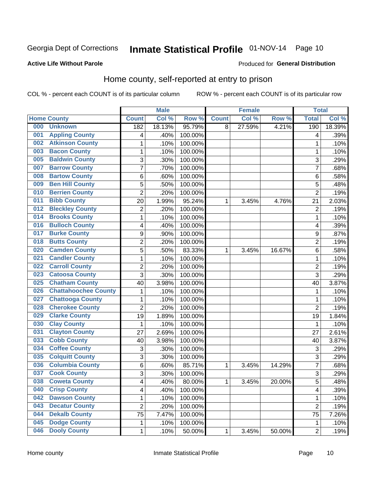# Inmate Statistical Profile 01-NOV-14 Page 10

### **Active Life Without Parole**

### **Produced for General Distribution**

### Home county, self-reported at entry to prison

COL % - percent each COUNT is of its particular column

|     |                             |                | <b>Male</b> |         |              | <b>Female</b> |        | <b>Total</b>   |        |
|-----|-----------------------------|----------------|-------------|---------|--------------|---------------|--------|----------------|--------|
|     | <b>Home County</b>          | <b>Count</b>   | Col %       | Row %   | <b>Count</b> | Col %         | Row %  | <b>Total</b>   | Col %  |
| 000 | <b>Unknown</b>              | 182            | 18.13%      | 95.79%  | 8            | 27.59%        | 4.21%  | 190            | 18.39% |
| 001 | <b>Appling County</b>       | 4              | .40%        | 100.00% |              |               |        | 4              | .39%   |
| 002 | <b>Atkinson County</b>      | 1              | .10%        | 100.00% |              |               |        | 1              | .10%   |
| 003 | <b>Bacon County</b>         | 1              | .10%        | 100.00% |              |               |        | 1              | .10%   |
| 005 | <b>Baldwin County</b>       | 3              | .30%        | 100.00% |              |               |        | 3              | .29%   |
| 007 | <b>Barrow County</b>        | 7              | .70%        | 100.00% |              |               |        | 7              | .68%   |
| 008 | <b>Bartow County</b>        | 6              | .60%        | 100.00% |              |               |        | 6              | .58%   |
| 009 | <b>Ben Hill County</b>      | 5              | .50%        | 100.00% |              |               |        | 5              | .48%   |
| 010 | <b>Berrien County</b>       | $\overline{2}$ | .20%        | 100.00% |              |               |        | $\overline{2}$ | .19%   |
| 011 | <b>Bibb County</b>          | 20             | 1.99%       | 95.24%  | 1            | 3.45%         | 4.76%  | 21             | 2.03%  |
| 012 | <b>Bleckley County</b>      | 2              | .20%        | 100.00% |              |               |        | $\overline{2}$ | .19%   |
| 014 | <b>Brooks County</b>        | 1              | .10%        | 100.00% |              |               |        | 1              | .10%   |
| 016 | <b>Bulloch County</b>       | 4              | .40%        | 100.00% |              |               |        | 4              | .39%   |
| 017 | <b>Burke County</b>         | 9              | .90%        | 100.00% |              |               |        | 9              | .87%   |
| 018 | <b>Butts County</b>         | $\overline{2}$ | .20%        | 100.00% |              |               |        | $\overline{2}$ | .19%   |
| 020 | <b>Camden County</b>        | 5              | .50%        | 83.33%  | 1            | 3.45%         | 16.67% | 6              | .58%   |
| 021 | <b>Candler County</b>       | 1              | .10%        | 100.00% |              |               |        | 1              | .10%   |
| 022 | <b>Carroll County</b>       | 2              | .20%        | 100.00% |              |               |        | $\overline{2}$ | .19%   |
| 023 | <b>Catoosa County</b>       | $\overline{3}$ | .30%        | 100.00% |              |               |        | 3              | .29%   |
| 025 | <b>Chatham County</b>       | 40             | 3.98%       | 100.00% |              |               |        | 40             | 3.87%  |
| 026 | <b>Chattahoochee County</b> | 1              | .10%        | 100.00% |              |               |        | 1              | .10%   |
| 027 | <b>Chattooga County</b>     | 1              | .10%        | 100.00% |              |               |        | 1              | .10%   |
| 028 | <b>Cherokee County</b>      | $\overline{2}$ | .20%        | 100.00% |              |               |        | $\overline{2}$ | .19%   |
| 029 | <b>Clarke County</b>        | 19             | 1.89%       | 100.00% |              |               |        | 19             | 1.84%  |
| 030 | <b>Clay County</b>          | 1              | .10%        | 100.00% |              |               |        | 1              | .10%   |
| 031 | <b>Clayton County</b>       | 27             | 2.69%       | 100.00% |              |               |        | 27             | 2.61%  |
| 033 | <b>Cobb County</b>          | 40             | 3.98%       | 100.00% |              |               |        | 40             | 3.87%  |
| 034 | <b>Coffee County</b>        | 3              | .30%        | 100.00% |              |               |        | 3              | .29%   |
| 035 | <b>Colquitt County</b>      | 3              | .30%        | 100.00% |              |               |        | 3              | .29%   |
| 036 | <b>Columbia County</b>      | 6              | .60%        | 85.71%  | 1            | 3.45%         | 14.29% | $\overline{7}$ | .68%   |
| 037 | <b>Cook County</b>          | $\overline{3}$ | .30%        | 100.00% |              |               |        | 3              | .29%   |
| 038 | <b>Coweta County</b>        | 4              | .40%        | 80.00%  | 1            | 3.45%         | 20.00% | 5              | .48%   |
| 040 | <b>Crisp County</b>         | 4              | .40%        | 100.00% |              |               |        | 4              | .39%   |
| 042 | <b>Dawson County</b>        | 1              | .10%        | 100.00% |              |               |        | 1              | .10%   |
| 043 | <b>Decatur County</b>       | $\overline{2}$ | .20%        | 100.00% |              |               |        | $\overline{2}$ | .19%   |
| 044 | <b>Dekalb County</b>        | 75             | 7.47%       | 100.00% |              |               |        | 75             | 7.26%  |
| 045 | <b>Dodge County</b>         | 1              | .10%        | 100.00% |              |               |        | 1              | .10%   |
| 046 | <b>Dooly County</b>         | 1              | .10%        | 50.00%  | 1            | 3.45%         | 50.00% | $\overline{2}$ | .19%   |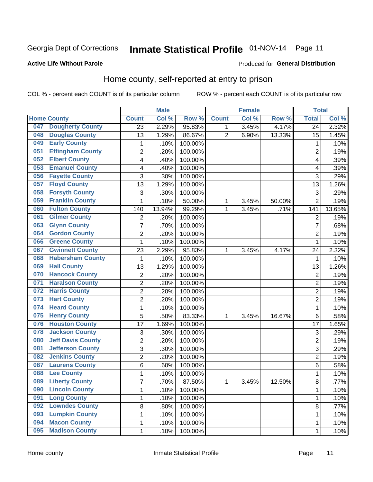# Inmate Statistical Profile 01-NOV-14 Page 11

### **Active Life Without Parole**

#### Produced for General Distribution

### Home county, self-reported at entry to prison

COL % - percent each COUNT is of its particular column

|     |                          |                         | <b>Male</b> |         |                | <b>Female</b> |        | <b>Total</b>            |        |
|-----|--------------------------|-------------------------|-------------|---------|----------------|---------------|--------|-------------------------|--------|
|     | <b>Home County</b>       | <b>Count</b>            | Col %       | Row %   | <b>Count</b>   | Col %         | Row %  | <b>Total</b>            | Col%   |
| 047 | <b>Dougherty County</b>  | 23                      | 2.29%       | 95.83%  | 1              | 3.45%         | 4.17%  | 24                      | 2.32%  |
| 048 | <b>Douglas County</b>    | 13                      | 1.29%       | 86.67%  | $\overline{2}$ | 6.90%         | 13.33% | 15                      | 1.45%  |
| 049 | <b>Early County</b>      | 1                       | .10%        | 100.00% |                |               |        | 1                       | .10%   |
| 051 | <b>Effingham County</b>  | $\overline{c}$          | .20%        | 100.00% |                |               |        | $\overline{2}$          | .19%   |
| 052 | <b>Elbert County</b>     | 4                       | .40%        | 100.00% |                |               |        | $\overline{\mathbf{4}}$ | .39%   |
| 053 | <b>Emanuel County</b>    | 4                       | .40%        | 100.00% |                |               |        | 4                       | .39%   |
| 056 | <b>Fayette County</b>    | 3                       | .30%        | 100.00% |                |               |        | 3                       | .29%   |
| 057 | <b>Floyd County</b>      | 13                      | 1.29%       | 100.00% |                |               |        | 13                      | 1.26%  |
| 058 | <b>Forsyth County</b>    | 3                       | .30%        | 100.00% |                |               |        | 3                       | .29%   |
| 059 | <b>Franklin County</b>   | $\mathbf 1$             | .10%        | 50.00%  | 1              | 3.45%         | 50.00% | $\overline{2}$          | .19%   |
| 060 | <b>Fulton County</b>     | 140                     | 13.94%      | 99.29%  | 1              | 3.45%         | .71%   | 141                     | 13.65% |
| 061 | <b>Gilmer County</b>     | $\overline{2}$          | .20%        | 100.00% |                |               |        | $\overline{2}$          | .19%   |
| 063 | <b>Glynn County</b>      | $\overline{7}$          | .70%        | 100.00% |                |               |        | 7                       | .68%   |
| 064 | <b>Gordon County</b>     | $\overline{2}$          | .20%        | 100.00% |                |               |        | $\overline{2}$          | .19%   |
| 066 | <b>Greene County</b>     | 1                       | .10%        | 100.00% |                |               |        | 1                       | .10%   |
| 067 | <b>Gwinnett County</b>   | 23                      | 2.29%       | 95.83%  | 1              | 3.45%         | 4.17%  | 24                      | 2.32%  |
| 068 | <b>Habersham County</b>  | 1                       | .10%        | 100.00% |                |               |        | 1                       | .10%   |
| 069 | <b>Hall County</b>       | 13                      | 1.29%       | 100.00% |                |               |        | 13                      | 1.26%  |
| 070 | <b>Hancock County</b>    | $\overline{\mathbf{c}}$ | .20%        | 100.00% |                |               |        | $\overline{2}$          | .19%   |
| 071 | <b>Haralson County</b>   | $\overline{2}$          | .20%        | 100.00% |                |               |        | $\overline{2}$          | .19%   |
| 072 | <b>Harris County</b>     | $\overline{c}$          | .20%        | 100.00% |                |               |        | $\overline{2}$          | .19%   |
| 073 | <b>Hart County</b>       | $\overline{2}$          | .20%        | 100.00% |                |               |        | $\overline{2}$          | .19%   |
| 074 | <b>Heard County</b>      | 1                       | .10%        | 100.00% |                |               |        | 1                       | .10%   |
| 075 | <b>Henry County</b>      | 5                       | .50%        | 83.33%  | 1              | 3.45%         | 16.67% | 6                       | .58%   |
| 076 | <b>Houston County</b>    | 17                      | 1.69%       | 100.00% |                |               |        | 17                      | 1.65%  |
| 078 | <b>Jackson County</b>    | 3                       | .30%        | 100.00% |                |               |        | 3                       | .29%   |
| 080 | <b>Jeff Davis County</b> | $\overline{c}$          | .20%        | 100.00% |                |               |        | $\overline{2}$          | .19%   |
| 081 | <b>Jefferson County</b>  | 3                       | .30%        | 100.00% |                |               |        | 3                       | .29%   |
| 082 | <b>Jenkins County</b>    | $\overline{c}$          | .20%        | 100.00% |                |               |        | $\overline{2}$          | .19%   |
| 087 | <b>Laurens County</b>    | 6                       | .60%        | 100.00% |                |               |        | 6                       | .58%   |
| 088 | <b>Lee County</b>        | 1                       | .10%        | 100.00% |                |               |        | 1                       | .10%   |
| 089 | <b>Liberty County</b>    | $\overline{7}$          | .70%        | 87.50%  | 1              | 3.45%         | 12.50% | 8                       | .77%   |
| 090 | <b>Lincoln County</b>    | 1                       | .10%        | 100.00% |                |               |        | 1                       | .10%   |
| 091 | <b>Long County</b>       | $\mathbf{1}$            | .10%        | 100.00% |                |               |        | 1                       | .10%   |
| 092 | <b>Lowndes County</b>    | 8                       | .80%        | 100.00% |                |               |        | 8                       | .77%   |
| 093 | <b>Lumpkin County</b>    | $\mathbf{1}$            | .10%        | 100.00% |                |               |        | 1                       | .10%   |
| 094 | <b>Macon County</b>      | $\mathbf{1}$            | .10%        | 100.00% |                |               |        | 1                       | .10%   |
| 095 | <b>Madison County</b>    | $\mathbf{1}$            | .10%        | 100.00% |                |               |        | 1                       | .10%   |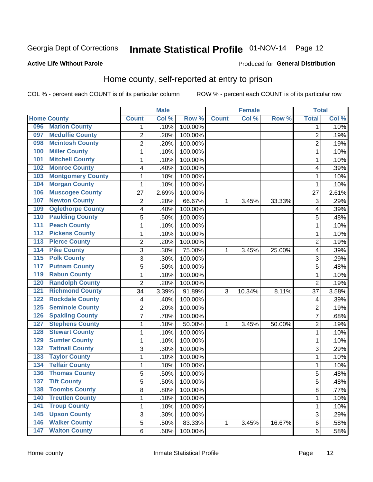# Inmate Statistical Profile 01-NOV-14 Page 12

### **Active Life Without Parole**

### **Produced for General Distribution**

### Home county, self-reported at entry to prison

COL % - percent each COUNT is of its particular column

|                  |                          |                | <b>Male</b> |         |              | <b>Female</b> |        | <b>Total</b>   |       |
|------------------|--------------------------|----------------|-------------|---------|--------------|---------------|--------|----------------|-------|
|                  | <b>Home County</b>       | <b>Count</b>   | Col %       | Row %   | <b>Count</b> | Col %         | Row %  | <b>Total</b>   | Col % |
| 096              | <b>Marion County</b>     | 1              | .10%        | 100.00% |              |               |        | 1              | .10%  |
| 097              | <b>Mcduffie County</b>   | $\overline{2}$ | .20%        | 100.00% |              |               |        | $\overline{2}$ | .19%  |
| 098              | <b>Mcintosh County</b>   | $\overline{c}$ | .20%        | 100.00% |              |               |        | 2              | .19%  |
| 100              | <b>Miller County</b>     | 1              | .10%        | 100.00% |              |               |        | 1              | .10%  |
| 101              | <b>Mitchell County</b>   | $\mathbf 1$    | .10%        | 100.00% |              |               |        | 1              | .10%  |
| 102              | <b>Monroe County</b>     | 4              | .40%        | 100.00% |              |               |        | 4              | .39%  |
| 103              | <b>Montgomery County</b> | $\mathbf 1$    | .10%        | 100.00% |              |               |        | 1              | .10%  |
| 104              | <b>Morgan County</b>     | 1              | .10%        | 100.00% |              |               |        | 1              | .10%  |
| 106              | <b>Muscogee County</b>   | 27             | 2.69%       | 100.00% |              |               |        | 27             | 2.61% |
| 107              | <b>Newton County</b>     | 2              | .20%        | 66.67%  | 1            | 3.45%         | 33.33% | 3              | .29%  |
| 109              | <b>Oglethorpe County</b> | 4              | .40%        | 100.00% |              |               |        | 4              | .39%  |
| 110              | <b>Paulding County</b>   | 5              | .50%        | 100.00% |              |               |        | 5              | .48%  |
| 111              | <b>Peach County</b>      | $\mathbf 1$    | .10%        | 100.00% |              |               |        | 1              | .10%  |
| $\overline{112}$ | <b>Pickens County</b>    | $\mathbf 1$    | .10%        | 100.00% |              |               |        | 1              | .10%  |
| $\overline{113}$ | <b>Pierce County</b>     | $\overline{2}$ | .20%        | 100.00% |              |               |        | $\overline{2}$ | .19%  |
| 114              | <b>Pike County</b>       | 3              | .30%        | 75.00%  | 1            | 3.45%         | 25.00% | 4              | .39%  |
| $\overline{115}$ | <b>Polk County</b>       | 3              | .30%        | 100.00% |              |               |        | 3              | .29%  |
| 117              | <b>Putnam County</b>     | 5              | .50%        | 100.00% |              |               |        | 5              | .48%  |
| 119              | <b>Rabun County</b>      | $\mathbf 1$    | .10%        | 100.00% |              |               |        | 1              | .10%  |
| 120              | <b>Randolph County</b>   | $\overline{2}$ | .20%        | 100.00% |              |               |        | $\overline{2}$ | .19%  |
| 121              | <b>Richmond County</b>   | 34             | 3.39%       | 91.89%  | 3            | 10.34%        | 8.11%  | 37             | 3.58% |
| 122              | <b>Rockdale County</b>   | 4              | .40%        | 100.00% |              |               |        | 4              | .39%  |
| 125              | <b>Seminole County</b>   | $\overline{2}$ | .20%        | 100.00% |              |               |        | $\overline{2}$ | .19%  |
| 126              | <b>Spalding County</b>   | $\overline{7}$ | .70%        | 100.00% |              |               |        | 7              | .68%  |
| 127              | <b>Stephens County</b>   | 1              | .10%        | 50.00%  | 1            | 3.45%         | 50.00% | $\overline{2}$ | .19%  |
| 128              | <b>Stewart County</b>    | $\mathbf 1$    | .10%        | 100.00% |              |               |        | 1              | .10%  |
| 129              | <b>Sumter County</b>     | $\mathbf 1$    | .10%        | 100.00% |              |               |        | 1              | .10%  |
| 132              | <b>Tattnall County</b>   | 3              | .30%        | 100.00% |              |               |        | 3              | .29%  |
| 133              | <b>Taylor County</b>     | $\mathbf 1$    | .10%        | 100.00% |              |               |        | 1              | .10%  |
| 134              | <b>Telfair County</b>    | $\mathbf 1$    | .10%        | 100.00% |              |               |        | 1              | .10%  |
| 136              | <b>Thomas County</b>     | 5              | .50%        | 100.00% |              |               |        | 5              | .48%  |
| 137              | <b>Tift County</b>       | 5              | .50%        | 100.00% |              |               |        | 5              | .48%  |
| 138              | <b>Toombs County</b>     | 8              | .80%        | 100.00% |              |               |        | 8              | .77%  |
| 140              | <b>Treutlen County</b>   | 1              | .10%        | 100.00% |              |               |        | 1              | .10%  |
| $\overline{141}$ | <b>Troup County</b>      | $\mathbf 1$    | .10%        | 100.00% |              |               |        | 1              | .10%  |
| 145              | <b>Upson County</b>      | 3              | .30%        | 100.00% |              |               |        | 3              | .29%  |
| 146              | <b>Walker County</b>     | 5              | .50%        | 83.33%  | 1            | 3.45%         | 16.67% | 6              | .58%  |
| 147              | <b>Walton County</b>     | 6              | .60%        | 100.00% |              |               |        | 6              | .58%  |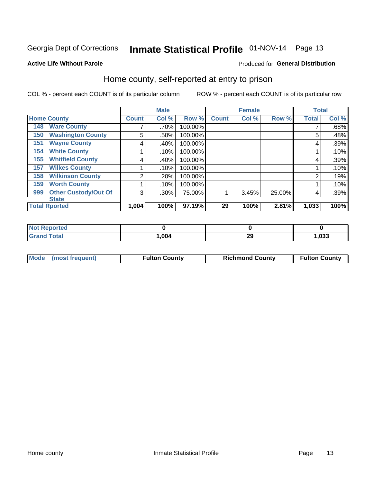# Inmate Statistical Profile 01-NOV-14 Page 13

### **Active Life Without Parole**

### **Produced for General Distribution**

### Home county, self-reported at entry to prison

COL % - percent each COUNT is of its particular column

|     |                             |              | <b>Male</b> |         |              | <b>Female</b> |        | <b>Total</b>   |       |
|-----|-----------------------------|--------------|-------------|---------|--------------|---------------|--------|----------------|-------|
|     | <b>Home County</b>          | <b>Count</b> | Col %       | Row %   | <b>Count</b> | Col %         | Row %  | <b>Total</b>   | Col % |
| 148 | <b>Ware County</b>          |              | .70%        | 100.00% |              |               |        |                | .68%  |
| 150 | <b>Washington County</b>    | 5            | .50%        | 100.00% |              |               |        | 5              | .48%  |
| 151 | <b>Wayne County</b>         | 4            | .40%        | 100.00% |              |               |        | 4              | .39%  |
| 154 | <b>White County</b>         |              | .10%        | 100.00% |              |               |        |                | .10%  |
| 155 | <b>Whitfield County</b>     | 4            | .40%        | 100.00% |              |               |        | 4              | .39%  |
| 157 | <b>Wilkes County</b>        |              | .10%        | 100.00% |              |               |        |                | .10%  |
| 158 | <b>Wilkinson County</b>     | 2            | .20%        | 100.00% |              |               |        | $\overline{2}$ | .19%  |
| 159 | <b>Worth County</b>         |              | .10%        | 100.00% |              |               |        |                | .10%  |
| 999 | <b>Other Custody/Out Of</b> | 3            | .30%        | 75.00%  |              | 3.45%         | 25.00% | 4              | .39%  |
|     | <b>State</b>                |              |             |         |              |               |        |                |       |
|     | <b>Total Rported</b>        | 1,004        | 100%        | 97.19%  | 29           | 100%          | 2.81%  | 1,033          | 100%  |

| portea      |      |    |      |
|-------------|------|----|------|
| <b>otal</b> | .004 | ∠খ | ,033 |

| Mode (most frequent)<br><b>Fulton County</b><br><b>Richmond County</b><br><b>Fulton County</b> |
|------------------------------------------------------------------------------------------------|
|------------------------------------------------------------------------------------------------|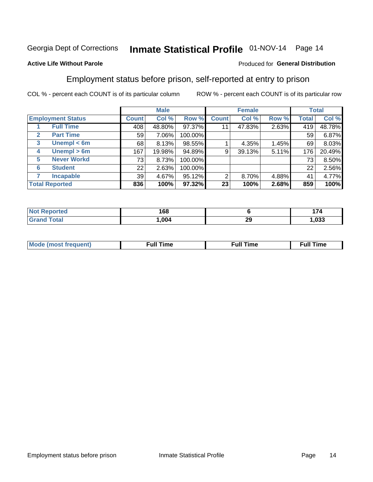# Inmate Statistical Profile 01-NOV-14 Page 14

### **Active Life Without Parole**

### Produced for General Distribution

### Employment status before prison, self-reported at entry to prison

COL % - percent each COUNT is of its particular column

|                                  |              | <b>Male</b> |         |              | <b>Female</b> |       | <b>Total</b> |        |
|----------------------------------|--------------|-------------|---------|--------------|---------------|-------|--------------|--------|
| <b>Employment Status</b>         | <b>Count</b> | Col %       | Row %   | <b>Count</b> | Col %         | Row % | <b>Total</b> | Col %  |
| <b>Full Time</b>                 | 408          | 48.80%      | 97.37%  | 11           | 47.83%        | 2.63% | 419          | 48.78% |
| <b>Part Time</b><br>$\mathbf{2}$ | 59           | 7.06%       | 100.00% |              |               |       | 59           | 6.87%  |
| Unempl $<$ 6m<br>3               | 68           | 8.13%       | 98.55%  |              | 4.35%         | 1.45% | 69           | 8.03%  |
| Unempl > 6m<br>4                 | 167          | 19.98%      | 94.89%  | 9            | 39.13%        | 5.11% | 176          | 20.49% |
| <b>Never Workd</b><br>5          | 73           | 8.73%       | 100.00% |              |               |       | 73           | 8.50%  |
| <b>Student</b><br>6              | 22           | 2.63%       | 100.00% |              |               |       | 22           | 2.56%  |
| <b>Incapable</b><br>7            | 39           | 4.67%       | 95.12%  | 2            | 8.70%         | 4.88% | 41           | 4.77%  |
| <b>Total Reported</b>            | 836          | 100%        | 97.32%  | 23           | 100%          | 2.68% | 859          | 100%   |

| тео<br>NO.   | 168  |           | ---<br>$\mathbf{z}$ |
|--------------|------|-----------|---------------------|
| <b>Total</b> | ,004 | nr<br>- 3 | ,033                |

| Mc | ∙u∥<br>----<br>ıme | ίuΙ<br>Πmε |
|----|--------------------|------------|
|    |                    |            |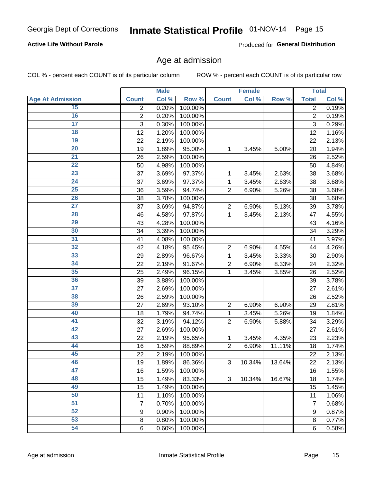### **Active Life Without Parole**

Produced for General Distribution

### Age at admission

COL % - percent each COUNT is of its particular column

|                         |                | <b>Male</b> |         |                | <b>Female</b> |        |                  | <b>Total</b> |
|-------------------------|----------------|-------------|---------|----------------|---------------|--------|------------------|--------------|
| <b>Age At Admission</b> | <b>Count</b>   | Col %       | Row %   | <b>Count</b>   | Col %         | Row %  | <b>Total</b>     | Col %        |
| 15                      | 2              | 0.20%       | 100.00% |                |               |        | $\overline{2}$   | 0.19%        |
| 16                      | $\overline{2}$ | 0.20%       | 100.00% |                |               |        | $\overline{2}$   | 0.19%        |
| $\overline{17}$         | 3              | 0.30%       | 100.00% |                |               |        | 3                | 0.29%        |
| 18                      | 12             | 1.20%       | 100.00% |                |               |        | 12               | 1.16%        |
| 19                      | 22             | 2.19%       | 100.00% |                |               |        | 22               | 2.13%        |
| $\overline{20}$         | 19             | 1.89%       | 95.00%  | 1              | 3.45%         | 5.00%  | 20               | 1.94%        |
| $\overline{21}$         | 26             | 2.59%       | 100.00% |                |               |        | 26               | 2.52%        |
| 22                      | 50             | 4.98%       | 100.00% |                |               |        | 50               | 4.84%        |
| 23                      | 37             | 3.69%       | 97.37%  | 1              | 3.45%         | 2.63%  | 38               | 3.68%        |
| 24                      | 37             | 3.69%       | 97.37%  | 1              | 3.45%         | 2.63%  | 38               | 3.68%        |
| $\overline{25}$         | 36             | 3.59%       | 94.74%  | $\overline{2}$ | 6.90%         | 5.26%  | 38               | 3.68%        |
| 26                      | 38             | 3.78%       | 100.00% |                |               |        | 38               | 3.68%        |
| $\overline{27}$         | 37             | 3.69%       | 94.87%  | $\overline{2}$ | 6.90%         | 5.13%  | 39               | 3.78%        |
| 28                      | 46             | 4.58%       | 97.87%  | 1              | 3.45%         | 2.13%  | 47               | 4.55%        |
| 29                      | 43             | 4.28%       | 100.00% |                |               |        | 43               | 4.16%        |
| 30                      | 34             | 3.39%       | 100.00% |                |               |        | 34               | 3.29%        |
| $\overline{31}$         | 41             | 4.08%       | 100.00% |                |               |        | 41               | 3.97%        |
| 32                      | 42             | 4.18%       | 95.45%  | $\overline{2}$ | 6.90%         | 4.55%  | 44               | 4.26%        |
| 33                      | 29             | 2.89%       | 96.67%  | 1              | 3.45%         | 3.33%  | 30               | 2.90%        |
| 34                      | 22             | 2.19%       | 91.67%  | $\overline{2}$ | 6.90%         | 8.33%  | 24               | 2.32%        |
| 35                      | 25             | 2.49%       | 96.15%  | 1              | 3.45%         | 3.85%  | 26               | 2.52%        |
| 36                      | 39             | 3.88%       | 100.00% |                |               |        | 39               | 3.78%        |
| $\overline{37}$         | 27             | 2.69%       | 100.00% |                |               |        | 27               | 2.61%        |
| 38                      | 26             | 2.59%       | 100.00% |                |               |        | 26               | 2.52%        |
| 39                      | 27             | 2.69%       | 93.10%  | $\overline{2}$ | 6.90%         | 6.90%  | 29               | 2.81%        |
| 40                      | 18             | 1.79%       | 94.74%  | 1              | 3.45%         | 5.26%  | 19               | 1.84%        |
| 41                      | 32             | 3.19%       | 94.12%  | $\overline{2}$ | 6.90%         | 5.88%  | 34               | 3.29%        |
| 42                      | 27             | 2.69%       | 100.00% |                |               |        | 27               | 2.61%        |
| 43                      | 22             | 2.19%       | 95.65%  | 1              | 3.45%         | 4.35%  | 23               | 2.23%        |
| 44                      | 16             | 1.59%       | 88.89%  | $\overline{2}$ | 6.90%         | 11.11% | 18               | 1.74%        |
| 45                      | 22             | 2.19%       | 100.00% |                |               |        | 22               | 2.13%        |
| 46                      | 19             | 1.89%       | 86.36%  | 3              | 10.34%        | 13.64% | 22               | 2.13%        |
| 47                      | 16             | 1.59%       | 100.00% |                |               |        | 16               | 1.55%        |
| 48                      | 15             | 1.49%       | 83.33%  | 3              | 10.34%        | 16.67% | 18               | 1.74%        |
| 49                      | 15             | 1.49%       | 100.00% |                |               |        | 15               | 1.45%        |
| 50                      | 11             | 1.10%       | 100.00% |                |               |        | 11               | 1.06%        |
| $\overline{51}$         | 7              | 0.70%       | 100.00% |                |               |        | 7                | 0.68%        |
| 52                      | 9              | 0.90%       | 100.00% |                |               |        | $\boldsymbol{9}$ | 0.87%        |
| 53                      | 8              | 0.80%       | 100.00% |                |               |        | 8                | 0.77%        |
| 54                      | 6              | 0.60%       | 100.00% |                |               |        | 6                | 0.58%        |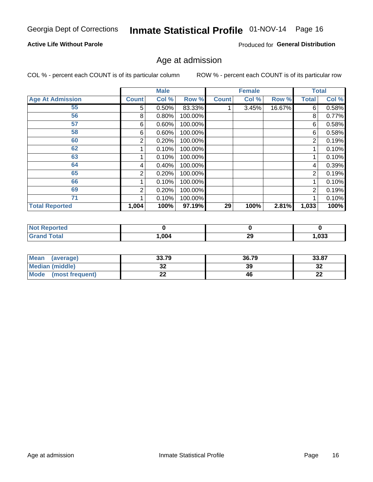# Inmate Statistical Profile 01-NOV-14 Page 16

### **Active Life Without Parole**

Produced for General Distribution

### Age at admission

COL % - percent each COUNT is of its particular column

|                         |                | <b>Male</b> |         |              | <b>Female</b> |        |                | <b>Total</b> |
|-------------------------|----------------|-------------|---------|--------------|---------------|--------|----------------|--------------|
| <b>Age At Admission</b> | <b>Count</b>   | Col %       | Row %   | <b>Count</b> | Col %         | Row %  | <b>Total</b>   | Col %        |
| 55                      | 5              | 0.50%       | 83.33%  |              | 3.45%         | 16.67% | 6              | 0.58%        |
| 56                      | 8              | 0.80%       | 100.00% |              |               |        | 8              | 0.77%        |
| 57                      | 6              | 0.60%       | 100.00% |              |               |        | 6              | 0.58%        |
| 58                      | 6              | 0.60%       | 100.00% |              |               |        | 6              | 0.58%        |
| 60                      | 2              | 0.20%       | 100.00% |              |               |        | 2              | 0.19%        |
| 62                      |                | 0.10%       | 100.00% |              |               |        |                | 0.10%        |
| 63                      |                | 0.10%       | 100.00% |              |               |        |                | 0.10%        |
| 64                      | 4              | 0.40%       | 100.00% |              |               |        | 4              | 0.39%        |
| 65                      | $\overline{2}$ | 0.20%       | 100.00% |              |               |        | 2              | 0.19%        |
| 66                      |                | 0.10%       | 100.00% |              |               |        |                | 0.10%        |
| 69                      | 2              | 0.20%       | 100.00% |              |               |        | $\overline{2}$ | 0.19%        |
| 71                      |                | 0.10%       | 100.00% |              |               |        |                | 0.10%        |
| <b>Total Reported</b>   | 1,004          | 100%        | 97.19%  | 29           | 100%          | 2.81%  | 1,033          | 100%         |

| <b>Reported</b><br><b>NOT</b> |      |          |      |
|-------------------------------|------|----------|------|
| `otal<br>_____                | ,004 | ኅሮ<br>73 | ,033 |

| Mean<br>(average)              | 33.79 | 36.79 | 33.87     |
|--------------------------------|-------|-------|-----------|
| <b>Median (middle)</b>         | ◡▵    | 39    | າາ<br>⊾د  |
| <b>Mode</b><br>(most frequent) | --    | 46    | ng,<br>LL |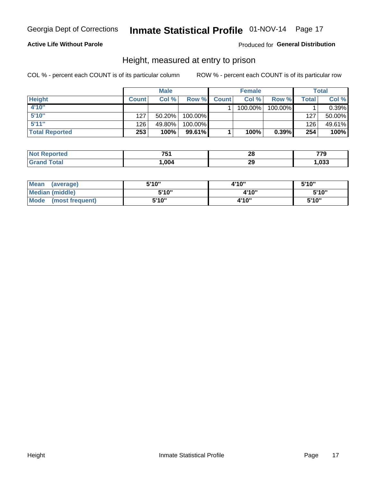### **Active Life Without Parole**

### Produced for General Distribution

### Height, measured at entry to prison

COL % - percent each COUNT is of its particular column

|                       |              | <b>Male</b> |           |              | <b>Female</b> |          |         | Total    |
|-----------------------|--------------|-------------|-----------|--------------|---------------|----------|---------|----------|
| <b>Height</b>         | <b>Count</b> | Col %       | Row %     | <b>Count</b> | Col %         | Row %    | Total i | Col %    |
| 4'10"                 |              |             |           |              | 100.00%       | 100.00%  |         | $0.39\%$ |
| 5'10''                | 127          | $50.20\%$   | 100.00%   |              |               |          | 127     | 50.00%   |
| 5'11''                | 126          | 49.80%      | 100.00%   |              |               |          | 126     | 49.61%   |
| <b>Total Reported</b> | 253          | 100%        | $99.61\%$ |              | 100%          | $0.39\%$ | 254     | 100%     |

| <b>Not</b><br>רted.<br>kenor | 751  | 28<br>$\sim$ | 770  |
|------------------------------|------|--------------|------|
| <b>Total</b><br><b>Grand</b> | .004 | 29           | ,033 |

| <b>Mean</b><br>(average)       | 5'10" | 4'10" | 5'10" |
|--------------------------------|-------|-------|-------|
| Median (middle)                | 5'10" | 4'10" | 5'10" |
| <b>Mode</b><br>(most frequent) | 5'10" | 4'10" | 5'10" |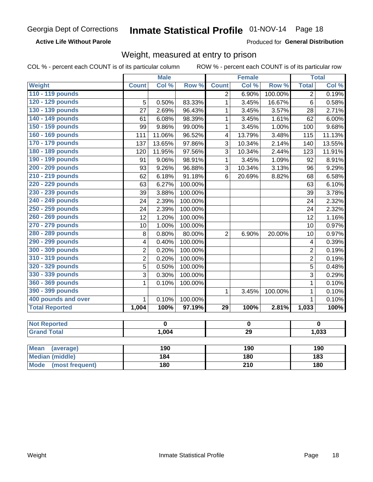**Active Life Without Parole** 

Produced for General Distribution

### Weight, measured at entry to prison

|                                |                 | <b>Male</b>             |         |                         | <b>Female</b> |         |                         | <b>Total</b>            |
|--------------------------------|-----------------|-------------------------|---------|-------------------------|---------------|---------|-------------------------|-------------------------|
| Weight                         | <b>Count</b>    | Col %                   | Row %   | <b>Count</b>            | Col %         | Row %   | <b>Total</b>            | Col %                   |
| 110 - 119 pounds               |                 |                         |         | $\overline{2}$          | 6.90%         | 100.00% | $\overline{2}$          | 0.19%                   |
| 120 - 129 pounds               | 5               | 0.50%                   | 83.33%  | $\mathbf{1}$            | 3.45%         | 16.67%  | $\overline{6}$          | 0.58%                   |
| 130 - 139 pounds               | 27              | 2.69%                   | 96.43%  | $\mathbf{1}$            | 3.45%         | 3.57%   | 28                      | 2.71%                   |
| 140 - 149 pounds               | 61              | 6.08%                   | 98.39%  | $\mathbf{1}$            | 3.45%         | 1.61%   | 62                      | 6.00%                   |
| 150 - 159 pounds               | 99              | 9.86%                   | 99.00%  | $\mathbf{1}$            | 3.45%         | 1.00%   | 100                     | 9.68%                   |
| 160 - 169 pounds               | 111             | 11.06%                  | 96.52%  | $\overline{\mathbf{4}}$ | 13.79%        | 3.48%   | 115                     | 11.13%                  |
| 170 - 179 pounds               | 137             | 13.65%                  | 97.86%  | $\overline{3}$          | 10.34%        | 2.14%   | 140                     | 13.55%                  |
| 180 - 189 pounds               | 120             | 11.95%                  | 97.56%  | 3                       | 10.34%        | 2.44%   | 123                     | 11.91%                  |
| 190 - 199 pounds               | 91              | 9.06%                   | 98.91%  | $\mathbf{1}$            | 3.45%         | 1.09%   | 92                      | 8.91%                   |
| 200 - 209 pounds               | 93              | 9.26%                   | 96.88%  | 3                       | 10.34%        | 3.13%   | 96                      | 9.29%                   |
| 210 - 219 pounds               | 62              | 6.18%                   | 91.18%  | $6\phantom{1}$          | 20.69%        | 8.82%   | 68                      | 6.58%                   |
| 220 - 229 pounds               | 63              | 6.27%                   | 100.00% |                         |               |         | 63                      | 6.10%                   |
| 230 - 239 pounds               | 39              | 3.88%                   | 100.00% |                         |               |         | 39                      | 3.78%                   |
| 240 - 249 pounds               | 24              | 2.39%                   | 100.00% |                         |               |         | 24                      | 2.32%                   |
| 250 - 259 pounds               | 24              | 2.39%                   | 100.00% |                         |               |         | 24                      | 2.32%                   |
| 260 - 269 pounds               | $\overline{12}$ | 1.20%                   | 100.00% |                         |               |         | $\overline{12}$         | 1.16%                   |
| 270 - 279 pounds               | 10              | 1.00%                   | 100.00% |                         |               |         | 10                      | 0.97%                   |
| 280 - 289 pounds               | 8               | 0.80%                   | 80.00%  | $\overline{2}$          | 6.90%         | 20.00%  | 10                      | 0.97%                   |
| 290 - 299 pounds               | 4               | 0.40%                   | 100.00% |                         |               |         | $\overline{\mathbf{4}}$ | 0.39%                   |
| 300 - 309 pounds               | 2               | 0.20%                   | 100.00% |                         |               |         | $\overline{2}$          | 0.19%                   |
| 310 - 319 pounds               | $\overline{2}$  | 0.20%                   | 100.00% |                         |               |         | $\overline{2}$          | 0.19%                   |
| 320 - 329 pounds               | $\overline{5}$  | 0.50%                   | 100.00% |                         |               |         | $\overline{5}$          | 0.48%                   |
| 330 - 339 pounds               | 3               | 0.30%                   | 100.00% |                         |               |         | 3                       | 0.29%                   |
| 360 - 369 pounds               | 1               | 0.10%                   | 100.00% |                         |               |         | $\mathbf 1$             | 0.10%                   |
| 390 - 399 pounds               |                 |                         |         | $\mathbf{1}$            | 3.45%         | 100.00% | $\mathbf{1}$            | 0.10%                   |
| 400 pounds and over            | $\mathbf{1}$    | 0.10%                   | 100.00% |                         |               |         | $\mathbf{1}$            | 0.10%                   |
| <b>Total Reported</b>          | 1,004           | 100%                    | 97.19%  | $\overline{29}$         | 100%          | 2.81%   | 1,033                   | 100%                    |
|                                |                 |                         |         |                         |               |         |                         |                         |
| <b>Not Reported</b>            |                 | $\overline{\mathbf{0}}$ |         |                         | $\mathbf 0$   |         |                         | $\overline{\mathbf{0}}$ |
| <b>Grand Total</b>             |                 | 1,004                   |         | $\overline{29}$         |               |         |                         | 1,033                   |
|                                |                 |                         |         |                         |               |         |                         |                         |
| <b>Mean</b><br>(average)       |                 | 190                     |         |                         | 190           |         |                         | 190                     |
| <b>Median (middle)</b>         |                 | 184                     |         |                         | <b>180</b>    |         | 183                     |                         |
| <b>Mode</b><br>(most frequent) |                 | <b>180</b>              |         | $\overline{210}$        |               |         | <b>180</b>              |                         |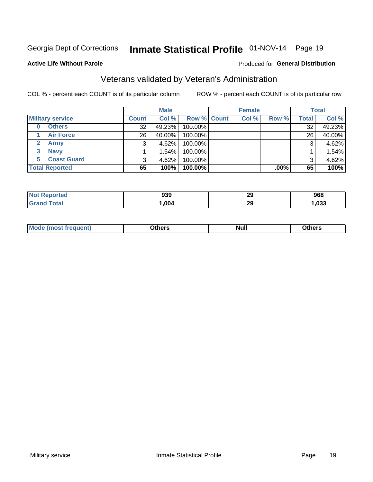# Inmate Statistical Profile 01-NOV-14 Page 19

#### **Active Life Without Parole**

### Produced for General Distribution

# Veterans validated by Veteran's Administration

COL % - percent each COUNT is of its particular column

|                         |              | <b>Male</b> |             | <b>Female</b> |         |              | <b>Total</b> |
|-------------------------|--------------|-------------|-------------|---------------|---------|--------------|--------------|
| <b>Military service</b> | <b>Count</b> | Col %       | Row % Count | Col %         | Row %   | <b>Total</b> | Col %        |
| <b>Others</b><br>0      | 32           | 49.23%      | 100.00%     |               |         | 32           | 49.23%       |
| <b>Air Force</b>        | 26           | 40.00%      | 100.00%     |               |         | 26           | 40.00%       |
| Army                    |              | 4.62%       | 100.00%     |               |         | 3            | 4.62%        |
| <b>Navy</b><br>3        |              | 1.54%       | 100.00%     |               |         |              | 1.54%        |
| <b>Coast Guard</b>      |              | 4.62%       | 100.00%     |               |         | 3            | 4.62%        |
| <b>Total Reported</b>   | 65           | 100%        | $100.00\%$  |               | $.00\%$ | 65           | 100%         |

| norted<br>NO | 939  | ንር<br>25 | 968    |
|--------------|------|----------|--------|
| <b>Total</b> | ,004 | ኅሮ<br>23 | 033, ا |

| Mo<br><b>Null</b><br>วthers<br>_____<br>____ |
|----------------------------------------------|
|----------------------------------------------|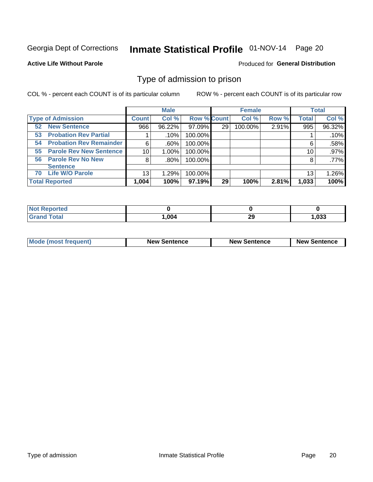# Inmate Statistical Profile 01-NOV-14 Page 20

#### **Active Life Without Parole**

### Produced for General Distribution

### Type of admission to prison

COL % - percent each COUNT is of its particular column

|                                      |                 | <b>Male</b> |                    |    | <b>Female</b> |       |              | <b>Total</b> |
|--------------------------------------|-----------------|-------------|--------------------|----|---------------|-------|--------------|--------------|
| <b>Type of Admission</b>             | <b>Count</b>    | Col %       | <b>Row % Count</b> |    | Col %         | Row % | <b>Total</b> | Col %        |
| <b>New Sentence</b><br>52            | 966             | 96.22%      | 97.09%             | 29 | 100.00%       | 2.91% | 995          | 96.32%       |
| <b>Probation Rev Partial</b><br>53   |                 | .10%        | 100.00%            |    |               |       |              | .10%         |
| <b>Probation Rev Remainder</b><br>54 | 6               | $.60\%$     | 100.00%            |    |               |       | 6            | .58%         |
| <b>Parole Rev New Sentence</b><br>55 | 10 <sup>1</sup> | 1.00%       | 100.00%            |    |               |       | 10           | .97%         |
| <b>Parole Rev No New</b><br>56       | 8               | $.80\%$     | 100.00%            |    |               |       | 8            | .77%         |
| <b>Sentence</b>                      |                 |             |                    |    |               |       |              |              |
| <b>Life W/O Parole</b><br>70         | 13              | 1.29%       | 100.00%            |    |               |       | 13           | 1.26%        |
| <b>Total Reported</b>                | 1,004           | 100%        | $97.19\%$          | 29 | 100%          | 2.81% | 1,033        | 100%         |

| Reported<br>' NOT |        |            |      |
|-------------------|--------|------------|------|
| Total             | 004, ا | or.<br>- - | ,033 |

| <b>Mode (most frequent)</b> | <b>New Sentence</b> | <b>New Sentence</b> | <b>New Sentence</b> |
|-----------------------------|---------------------|---------------------|---------------------|
|                             |                     |                     |                     |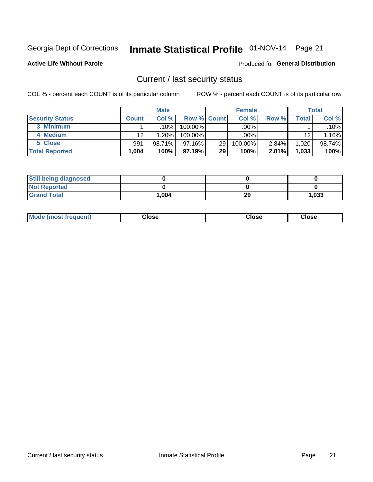# Inmate Statistical Profile 01-NOV-14 Page 21

**Active Life Without Parole** 

### Produced for General Distribution

### Current / last security status

COL % - percent each COUNT is of its particular column

|                        |                 | <b>Male</b> |                    |    | <b>Female</b> |          |       | <b>Total</b> |
|------------------------|-----------------|-------------|--------------------|----|---------------|----------|-------|--------------|
| <b>Security Status</b> | Count l         | Col %       | <b>Row % Count</b> |    | Col %         | Row %    | Total | Col %        |
| 3 Minimum              |                 | .10% '      | 100.00%            |    | .00%          |          |       | $.10\%$      |
| 4 Medium               | 12 <sub>1</sub> | 1.20%       | 100.00%            |    | .00%          |          | 12    | $1.16\%$     |
| 5 Close                | 991             | 98.71%      | $97.16\%$          | 29 | 100.00%       | $2.84\%$ | 1,020 | 98.74%       |
| <b>Total Reported</b>  | 1,004           | 100%        | $97.19\%$          | 29 | 100%          | 2.81%    | 1,033 | 100%         |

| <b>Still being diagnosed</b> |       |    |       |
|------------------------------|-------|----|-------|
| <b>Not Reported</b>          |       |    |       |
| <b>Grand Total</b>           | 1,004 | 29 | 1,033 |

| Mode (most frequent) | Close | Close | <b>Close</b> |
|----------------------|-------|-------|--------------|
|                      |       |       |              |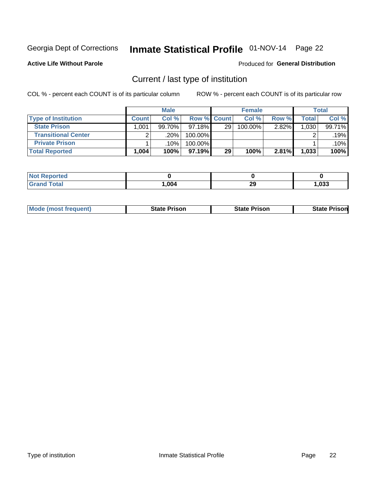# Inmate Statistical Profile 01-NOV-14 Page 22

**Active Life Without Parole** 

### Produced for General Distribution

# Current / last type of institution

COL % - percent each COUNT is of its particular column

|                            |              | <b>Male</b> |                    |    | <b>Female</b> |       |       | <b>Total</b> |
|----------------------------|--------------|-------------|--------------------|----|---------------|-------|-------|--------------|
| <b>Type of Institution</b> | <b>Count</b> | Col %       | <b>Row % Count</b> |    | Col %         | Row % | Total | Col %        |
| <b>State Prison</b>        | 1.001        | 99.70%      | 97.18%             | 29 | 100.00%       | 2.82% | 1,030 | 99.71%       |
| <b>Transitional Center</b> |              | .20%        | 100.00%            |    |               |       |       | .19%         |
| <b>Private Prison</b>      |              | .10%        | 100.00%            |    |               |       |       | $.10\%$      |
| <b>Total Reported</b>      | 1,004        | 100%        | $97.19\%$          | 29 | 100%          | 2.81% | 1,033 | 100%         |

| <b>Not Reported</b> |      |    |      |
|---------------------|------|----|------|
| <b>Total</b>        | ,004 | 29 | ,033 |

| <b>Mode (most frequent)</b> | <b>State Prison</b> | <b>State Prison</b> | <b>State Prisonl</b> |
|-----------------------------|---------------------|---------------------|----------------------|
|                             |                     |                     |                      |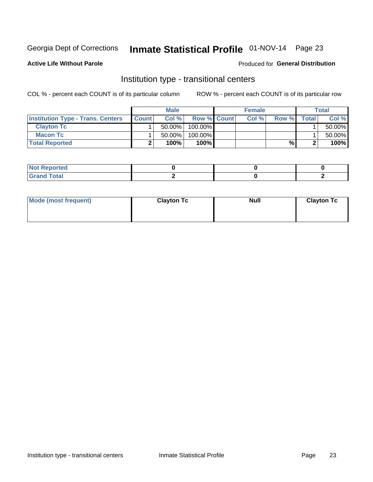# Inmate Statistical Profile 01-NOV-14 Page 23

**Active Life Without Parole** 

### Produced for General Distribution

### Institution type - transitional centers

COL % - percent each COUNT is of its particular column

|                                          |              | <b>Male</b> |                    | <b>Female</b> |       |              | <b>Total</b> |
|------------------------------------------|--------------|-------------|--------------------|---------------|-------|--------------|--------------|
| <b>Institution Type - Trans. Centers</b> | <b>Count</b> | Col%        | <b>Row % Count</b> | Col %         | Row % | <b>Total</b> | Col %        |
| <b>Clayton Tc</b>                        |              | $50.00\%$   | $100.00\%$         |               |       |              | 50.00%       |
| <b>Macon Tc</b>                          |              | $50.00\%$   | $100.00\%$         |               |       |              | 50.00%       |
| <b>Total Reported</b>                    |              | 100%        | 100%               |               | %     |              | 100%         |

| rtea                               |  |  |
|------------------------------------|--|--|
| $\sim$ $\sim$ $\sim$ $\sim$ $\sim$ |  |  |

| Mode (most frequent) | <b>Clayton Tc</b> | <b>Null</b> | <b>Clayton Tc</b> |
|----------------------|-------------------|-------------|-------------------|
|                      |                   |             |                   |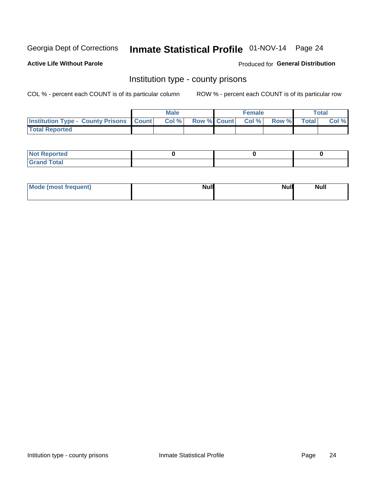# Inmate Statistical Profile 01-NOV-14 Page 24

**Active Life Without Parole** 

**Produced for General Distribution** 

### Institution type - county prisons

COL % - percent each COUNT is of its particular column

|                                                    | <b>Male</b> |       |  | <b>Female</b> |                          |             | <b>Total</b> |       |
|----------------------------------------------------|-------------|-------|--|---------------|--------------------------|-------------|--------------|-------|
| <b>Institution Type - County Prisons   Count  </b> |             | Col % |  |               | <b>Row % Count Col %</b> | Row % Total |              | Col % |
| <b>Total Reported</b>                              |             |       |  |               |                          |             |              |       |

| <b>Not Reported</b>   |  |  |
|-----------------------|--|--|
| <b>Total</b><br>Granc |  |  |

| Mode (most frequent) | <b>Null</b> | <b>Null</b><br><b>Null</b> |
|----------------------|-------------|----------------------------|
|                      |             |                            |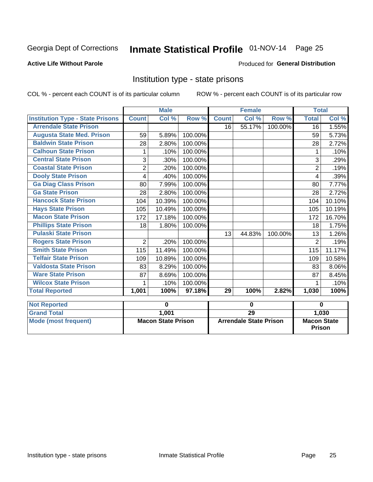# Inmate Statistical Profile 01-NOV-14 Page 25

### **Active Life Without Parole**

### **Produced for General Distribution**

### Institution type - state prisons

COL % - percent each COUNT is of its particular column

ROW % - percent each COUNT is of its particular row

|                                         |                | <b>Male</b>               |         |              | <b>Female</b>                 |         | <b>Total</b>       |        |  |
|-----------------------------------------|----------------|---------------------------|---------|--------------|-------------------------------|---------|--------------------|--------|--|
| <b>Institution Type - State Prisons</b> | <b>Count</b>   | $\overline{\text{Col}}$ % | Row %   | <b>Count</b> | $\overline{\text{Col}}$ %     | Row %   | <b>Total</b>       | Col %  |  |
| <b>Arrendale State Prison</b>           |                |                           |         | 16           | 55.17%                        | 100.00% | 16                 | 1.55%  |  |
| <b>Augusta State Med. Prison</b>        | 59             | 5.89%                     | 100.00% |              |                               |         | 59                 | 5.73%  |  |
| <b>Baldwin State Prison</b>             | 28             | 2.80%                     | 100.00% |              |                               |         | 28                 | 2.72%  |  |
| <b>Calhoun State Prison</b>             | 1              | .10%                      | 100.00% |              |                               |         | 1                  | .10%   |  |
| <b>Central State Prison</b>             | 3              | .30%                      | 100.00% |              |                               |         | 3                  | .29%   |  |
| <b>Coastal State Prison</b>             | $\overline{2}$ | .20%                      | 100.00% |              |                               |         | 2                  | .19%   |  |
| <b>Dooly State Prison</b>               | 4              | .40%                      | 100.00% |              |                               |         | 4                  | .39%   |  |
| <b>Ga Diag Class Prison</b>             | 80             | 7.99%                     | 100.00% |              |                               |         | 80                 | 7.77%  |  |
| <b>Ga State Prison</b>                  | 28             | 2.80%                     | 100.00% |              |                               |         | 28                 | 2.72%  |  |
| <b>Hancock State Prison</b>             | 104            | 10.39%                    | 100.00% |              |                               |         | 104                | 10.10% |  |
| <b>Hays State Prison</b>                | 105            | 10.49%                    | 100.00% |              |                               |         | 105                | 10.19% |  |
| <b>Macon State Prison</b>               | 172            | 17.18%                    | 100.00% |              |                               |         | 172                | 16.70% |  |
| <b>Phillips State Prison</b>            | 18             | 1.80%                     | 100.00% |              |                               |         | 18                 | 1.75%  |  |
| <b>Pulaski State Prison</b>             |                |                           |         | 13           | 44.83%                        | 100.00% | 13                 | 1.26%  |  |
| <b>Rogers State Prison</b>              | $\overline{2}$ | .20%                      | 100.00% |              |                               |         | $\overline{2}$     | .19%   |  |
| <b>Smith State Prison</b>               | 115            | 11.49%                    | 100.00% |              |                               |         | 115                | 11.17% |  |
| <b>Telfair State Prison</b>             | 109            | 10.89%                    | 100.00% |              |                               |         | 109                | 10.58% |  |
| <b>Valdosta State Prison</b>            | 83             | 8.29%                     | 100.00% |              |                               |         | 83                 | 8.06%  |  |
| <b>Ware State Prison</b>                | 87             | 8.69%                     | 100.00% |              |                               |         | 87                 | 8.45%  |  |
| <b>Wilcox State Prison</b>              | 1              | .10%                      | 100.00% |              |                               |         | 1                  | .10%   |  |
| <b>Total Reported</b>                   | 1,001          | 100%                      | 97.18%  | 29           | 100%                          | 2.82%   | 1,030              | 100%   |  |
| <b>Not Reported</b>                     |                | $\mathbf 0$               |         | $\bf{0}$     |                               |         | $\bf{0}$           |        |  |
| <b>Grand Total</b>                      |                | 1,001                     |         |              | $\overline{29}$               |         |                    | 1,030  |  |
| <b>Mode (most frequent)</b>             |                | <b>Macon State Prison</b> |         |              | <b>Arrendale State Prison</b> |         | <b>Macon State</b> |        |  |

Prison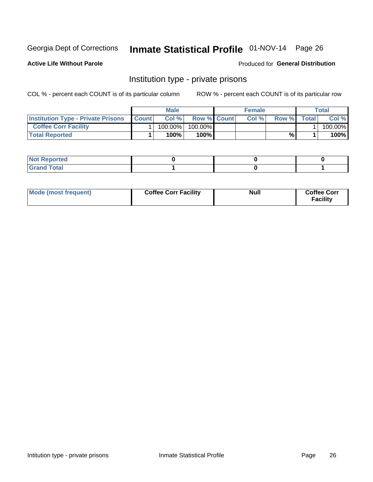# Inmate Statistical Profile 01-NOV-14 Page 26

**Active Life Without Parole** 

### Produced for General Distribution

### Institution type - private prisons

COL % - percent each COUNT is of its particular column

|                                           | <b>Male</b>  |            |                    | <b>Female</b> |       |       | Total        |         |
|-------------------------------------------|--------------|------------|--------------------|---------------|-------|-------|--------------|---------|
| <b>Institution Type - Private Prisons</b> | <b>Count</b> | Col%       | <b>Row % Count</b> |               | Col % | Row % | <b>Total</b> | Col %   |
| <b>Coffee Corr Facility</b>               |              | $100.00\%$ | 100.00%            |               |       |       |              | 100.00% |
| <b>Total Reported</b>                     |              | $100\%$    | $100\%$            |               |       | %     |              | 100%    |

| <b>Not Reported</b>    |  |  |
|------------------------|--|--|
| <b>Total</b><br>re e d |  |  |

| Mode (most frequent) | <b>Coffee Corr Facility</b> | <b>Null</b> | <b>Coffee Corr</b><br><b>Facility</b> |
|----------------------|-----------------------------|-------------|---------------------------------------|
|----------------------|-----------------------------|-------------|---------------------------------------|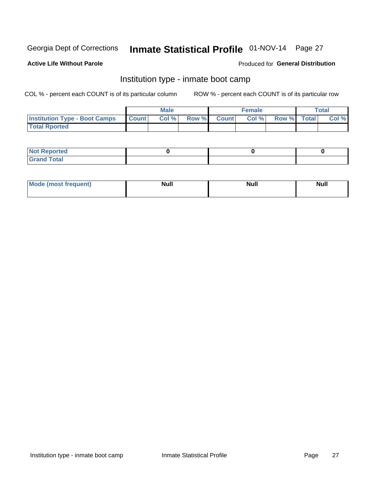# Inmate Statistical Profile 01-NOV-14 Page 27

#### **Active Life Without Parole**

### Produced for General Distribution

### Institution type - inmate boot camp

COL % - percent each COUNT is of its particular column

|                                      | <b>Male</b>  |       |               |              | <b>Female</b> | <b>Total</b> |  |       |
|--------------------------------------|--------------|-------|---------------|--------------|---------------|--------------|--|-------|
| <b>Institution Type - Boot Camps</b> | <b>Count</b> | Col % | <b>Row %I</b> | <b>Count</b> | Col %         | Row % Total  |  | Col % |
| <b>Total Rported</b>                 |              |       |               |              |               |              |  |       |

| <b>Not Reported</b>            |  |  |
|--------------------------------|--|--|
| <b>Total</b><br>C <sub>r</sub> |  |  |

| Mod<br>uamo | Nul.<br>$- - - - - -$ | <b>Null</b> | <br>uu.<br>------ |
|-------------|-----------------------|-------------|-------------------|
|             |                       |             |                   |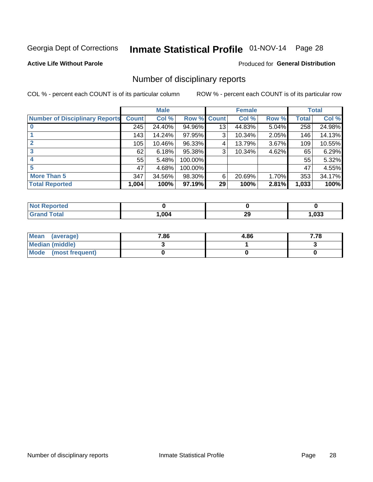# Inmate Statistical Profile 01-NOV-14 Page 28

### **Active Life Without Parole**

#### Produced for General Distribution

### Number of disciplinary reports

COL % - percent each COUNT is of its particular column

|                                       | <b>Male</b>  |        |         | <b>Female</b> |        |       | <b>Total</b> |        |
|---------------------------------------|--------------|--------|---------|---------------|--------|-------|--------------|--------|
| <b>Number of Disciplinary Reports</b> | <b>Count</b> | Col %  | Row %   | <b>Count</b>  | Col %  | Row % | <b>Total</b> | Col %  |
|                                       | 245          | 24.40% | 94.96%  | 13            | 44.83% | 5.04% | 258          | 24.98% |
|                                       | 143          | 14.24% | 97.95%  | 3             | 10.34% | 2.05% | 146          | 14.13% |
| 2                                     | 105          | 10.46% | 96.33%  | 4             | 13.79% | 3.67% | 109          | 10.55% |
| 3                                     | 62           | 6.18%  | 95.38%  | 3             | 10.34% | 4.62% | 65           | 6.29%  |
|                                       | 55           | 5.48%  | 100.00% |               |        |       | 55           | 5.32%  |
| 5                                     | 47           | 4.68%  | 100.00% |               |        |       | 47           | 4.55%  |
| <b>More Than 5</b>                    | 347          | 34.56% | 98.30%  | 6             | 20.69% | 1.70% | 353          | 34.17% |
| <b>Total Reported</b>                 | 1,004        | 100%   | 97.19%  | 29            | 100%   | 2.81% | 1,033        | 100%   |

| <b>Not Reported</b> |      |    |      |
|---------------------|------|----|------|
| <sup>-</sup> otal   | ,004 | 29 | ,033 |

| Mean (average)         | 7.86 | 4.86 | 7.78 |
|------------------------|------|------|------|
| <b>Median (middle)</b> |      |      |      |
| Mode (most frequent)   |      |      |      |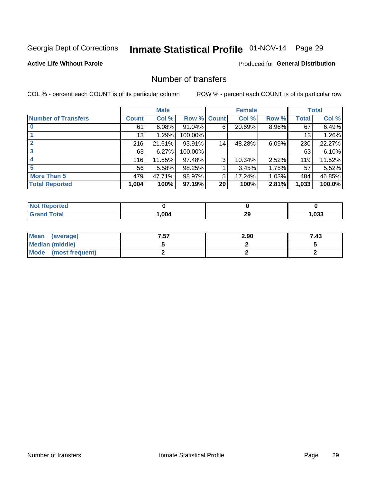# Inmate Statistical Profile 01-NOV-14 Page 29

### **Active Life Without Parole**

### **Produced for General Distribution**

### Number of transfers

COL % - percent each COUNT is of its particular column

|                            | <b>Male</b>  |        | <b>Female</b> |                 |        | <b>Total</b> |              |        |
|----------------------------|--------------|--------|---------------|-----------------|--------|--------------|--------------|--------|
| <b>Number of Transfers</b> | <b>Count</b> | Col %  | Row % Count   |                 | Col %  | Row %        | <b>Total</b> | Col %  |
|                            | 61           | 6.08%  | 91.04%        | 6               | 20.69% | 8.96%        | 67           | 6.49%  |
|                            | 13           | 1.29%  | 100.00%       |                 |        |              | 13           | 1.26%  |
| 2                          | 216          | 21.51% | 93.91%        | 14              | 48.28% | 6.09%        | 230          | 22.27% |
| 3                          | 63           | 6.27%  | 100.00%       |                 |        |              | 63           | 6.10%  |
|                            | 116          | 11.55% | 97.48%        | 3               | 10.34% | 2.52%        | 119          | 11.52% |
| 5                          | 56           | 5.58%  | 98.25%        |                 | 3.45%  | 1.75%        | 57           | 5.52%  |
| <b>More Than 5</b>         | 479          | 47.71% | 98.97%        | 5               | 17.24% | 1.03%        | 484          | 46.85% |
| <b>Total Reported</b>      | 1,004        | 100%   | 97.19%        | 29 <sup>°</sup> | 100%   | 2.81%        | 1,033        | 100.0% |

| prted<br>NOT RADO |      |          |      |
|-------------------|------|----------|------|
| <sup>-</sup> otal | ,004 | 20<br>29 | ,033 |

| Mean (average)       | 7.57 | 2.90 | 7.43 |
|----------------------|------|------|------|
| Median (middle)      |      |      |      |
| Mode (most frequent) |      |      |      |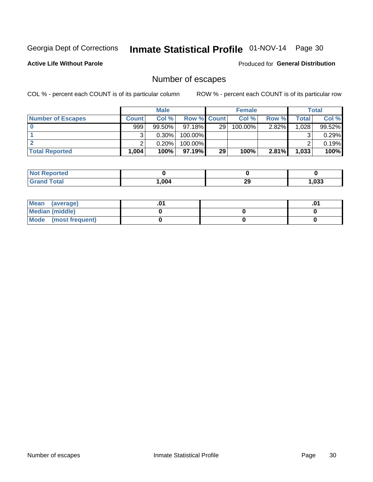# Inmate Statistical Profile 01-NOV-14 Page 30

**Active Life Without Parole** 

Produced for General Distribution

### Number of escapes

COL % - percent each COUNT is of its particular column

|                          | <b>Male</b>  |           |                    | <b>Female</b> |         |          | <b>Total</b> |        |
|--------------------------|--------------|-----------|--------------------|---------------|---------|----------|--------------|--------|
| <b>Number of Escapes</b> | <b>Count</b> | Col%      | <b>Row % Count</b> |               | Col %   | Row %    | Total        | Col %  |
|                          | 999          | $99.50\%$ | $97.18\%$          | 29            | 100.00% | $2.82\%$ | 1,028        | 99.52% |
|                          |              | $0.30\%$  | 100.00%            |               |         |          |              | 0.29%  |
|                          |              | 0.20%     | 100.00%            |               |         |          |              | 0.19%  |
| <b>Total Reported</b>    | $.004+$      | 100%      | $97.19\%$          | 29            | 100%    | 2.81%    | 1,033        | 100%   |

| <b>orteg</b><br><b>NOT</b> |      |    |      |
|----------------------------|------|----|------|
| 'otal<br>Grand             | .004 | 29 | ,033 |

| Mean (average)       |  | י ש |
|----------------------|--|-----|
| Median (middle)      |  |     |
| Mode (most frequent) |  |     |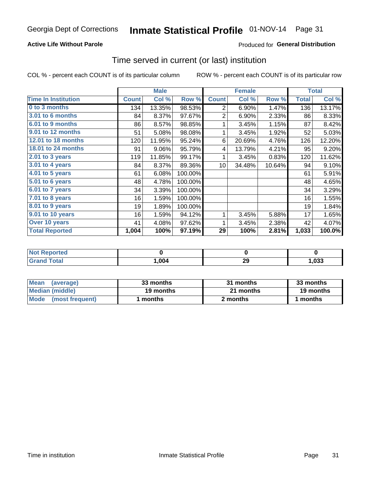### **Active Life Without Parole**

### Produced for General Distribution

### Time served in current (or last) institution

COL % - percent each COUNT is of its particular column

|                            |              | <b>Male</b> |         |                 | <b>Female</b> |        | <b>Total</b> |        |
|----------------------------|--------------|-------------|---------|-----------------|---------------|--------|--------------|--------|
| <b>Time In Institution</b> | <b>Count</b> | Col %       | Row %   | <b>Count</b>    | Col %         | Row %  | <b>Total</b> | Col %  |
| 0 to 3 months              | 134          | 13.35%      | 98.53%  | 2               | 6.90%         | 1.47%  | 136          | 13.17% |
| 3.01 to 6 months           | 84           | 8.37%       | 97.67%  | 2               | 6.90%         | 2.33%  | 86           | 8.33%  |
| 6.01 to 9 months           | 86           | 8.57%       | 98.85%  | 1               | 3.45%         | 1.15%  | 87           | 8.42%  |
| 9.01 to 12 months          | 51           | 5.08%       | 98.08%  | 1               | 3.45%         | 1.92%  | 52           | 5.03%  |
| 12.01 to 18 months         | 120          | 11.95%      | 95.24%  | 6               | 20.69%        | 4.76%  | 126          | 12.20% |
| <b>18.01 to 24 months</b>  | 91           | 9.06%       | 95.79%  | 4               | 13.79%        | 4.21%  | 95           | 9.20%  |
| $2.01$ to 3 years          | 119          | 11.85%      | 99.17%  | 1               | 3.45%         | 0.83%  | 120          | 11.62% |
| $3.01$ to 4 years          | 84           | 8.37%       | 89.36%  | 10 <sup>1</sup> | 34.48%        | 10.64% | 94           | 9.10%  |
| $4.01$ to 5 years          | 61           | 6.08%       | 100.00% |                 |               |        | 61           | 5.91%  |
| 5.01 to 6 years            | 48           | 4.78%       | 100.00% |                 |               |        | 48           | 4.65%  |
| 6.01 to 7 years            | 34           | 3.39%       | 100.00% |                 |               |        | 34           | 3.29%  |
| 7.01 to 8 years            | 16           | 1.59%       | 100.00% |                 |               |        | 16           | 1.55%  |
| 8.01 to 9 years            | 19           | 1.89%       | 100.00% |                 |               |        | 19           | 1.84%  |
| 9.01 to 10 years           | 16           | 1.59%       | 94.12%  | 1               | 3.45%         | 5.88%  | 17           | 1.65%  |
| Over 10 years              | 41           | 4.08%       | 97.62%  | 1               | 3.45%         | 2.38%  | 42           | 4.07%  |
| <b>Total Reported</b>      | 1,004        | 100%        | 97.19%  | 29              | 100%          | 2.81%  | 1,033        | 100.0% |

| <b>Not Reported</b> |        |                    |      |
|---------------------|--------|--------------------|------|
| $f$ oto'            | 004, ا | nr<br>∠ง<br>$\sim$ | ,033 |

| <b>Mean</b><br>(average) | 33 months | 31 months | 33 months |  |  |
|--------------------------|-----------|-----------|-----------|--|--|
| Median (middle)          | 19 months | 21 months | 19 months |  |  |
| Mode (most frequent)     | months    | 2 months  | ∣ months  |  |  |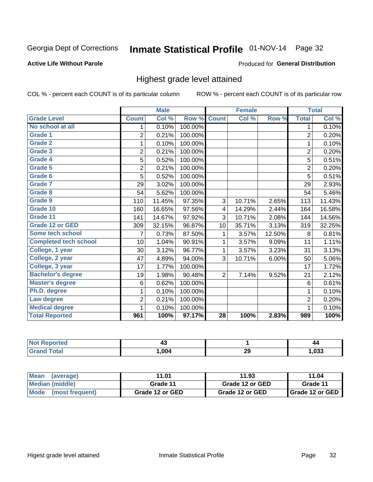# Inmate Statistical Profile 01-NOV-14 Page 32

### **Active Life Without Parole**

### Produced for General Distribution

### Highest grade level attained

COL % - percent each COUNT is of its particular column

|                              |                | <b>Male</b> |         |                 | <b>Female</b> |        |                | <b>Total</b> |
|------------------------------|----------------|-------------|---------|-----------------|---------------|--------|----------------|--------------|
| <b>Grade Level</b>           | <b>Count</b>   | Col %       | Row %   | <b>Count</b>    | Col %         | Row %  | <b>Total</b>   | Col %        |
| No school at all             | 1              | 0.10%       | 100.00% |                 |               |        | 1              | 0.10%        |
| Grade 1                      | $\overline{2}$ | 0.21%       | 100.00% |                 |               |        | $\overline{2}$ | 0.20%        |
| <b>Grade 2</b>               | 1              | 0.10%       | 100.00% |                 |               |        | 1              | 0.10%        |
| Grade 3                      | $\overline{2}$ | 0.21%       | 100.00% |                 |               |        | $\overline{c}$ | 0.20%        |
| Grade 4                      | 5              | 0.52%       | 100.00% |                 |               |        | 5              | 0.51%        |
| Grade 5                      | $\overline{2}$ | 0.21%       | 100.00% |                 |               |        | $\overline{c}$ | 0.20%        |
| Grade 6                      | 5              | 0.52%       | 100.00% |                 |               |        | $\overline{5}$ | 0.51%        |
| <b>Grade 7</b>               | 29             | 3.02%       | 100.00% |                 |               |        | 29             | 2.93%        |
| Grade 8                      | 54             | 5.62%       | 100.00% |                 |               |        | 54             | 5.46%        |
| Grade 9                      | 110            | 11.45%      | 97.35%  | 3               | 10.71%        | 2.65%  | 113            | 11.43%       |
| Grade 10                     | 160            | 16.65%      | 97.56%  | 4               | 14.29%        | 2.44%  | 164            | 16.58%       |
| Grade 11                     | 141            | 14.67%      | 97.92%  | 3               | 10.71%        | 2.08%  | 144            | 14.56%       |
| <b>Grade 12 or GED</b>       | 309            | 32.15%      | 96.87%  | 10              | 35.71%        | 3.13%  | 319            | 32.25%       |
| <b>Some tech school</b>      | 7              | 0.73%       | 87.50%  | 1               | 3.57%         | 12.50% | 8              | 0.81%        |
| <b>Completed tech school</b> | 10             | 1.04%       | 90.91%  | 1               | 3.57%         | 9.09%  | 11             | 1.11%        |
| College, 1 year              | 30             | 3.12%       | 96.77%  | 1               | 3.57%         | 3.23%  | 31             | 3.13%        |
| College, 2 year              | 47             | 4.89%       | 94.00%  | 3               | 10.71%        | 6.00%  | 50             | 5.06%        |
| College, 3 year              | 17             | 1.77%       | 100.00% |                 |               |        | 17             | 1.72%        |
| <b>Bachelor's degree</b>     | 19             | 1.98%       | 90.48%  | $\overline{2}$  | 7.14%         | 9.52%  | 21             | 2.12%        |
| <b>Master's degree</b>       | 6              | 0.62%       | 100.00% |                 |               |        | $\,6$          | 0.61%        |
| Ph.D. degree                 | 1              | 0.10%       | 100.00% |                 |               |        | 1              | 0.10%        |
| Law degree                   | $\overline{2}$ | 0.21%       | 100.00% |                 |               |        | $\overline{c}$ | 0.20%        |
| <b>Medical degree</b>        |                | 0.10%       | 100.00% |                 |               |        | 1              | 0.10%        |
| <b>Total Reported</b>        | 961            | 100%        | 97.17%  | $\overline{28}$ | 100%          | 2.83%  | 989            | 100%         |

| <b>orteg</b><br><b>NOT</b> | יד   |    | 44   |
|----------------------------|------|----|------|
| <b>ota</b><br>Grar         | ,004 | 29 | ,033 |

| <b>Mean</b><br>(average)       | 11.01           | 11.93           | 11.04             |  |
|--------------------------------|-----------------|-----------------|-------------------|--|
| Median (middle)                | Grade 11        | Grade 12 or GED | Grade 11          |  |
| <b>Mode</b><br>(most frequent) | Grade 12 or GED | Grade 12 or GED | I Grade 12 or GED |  |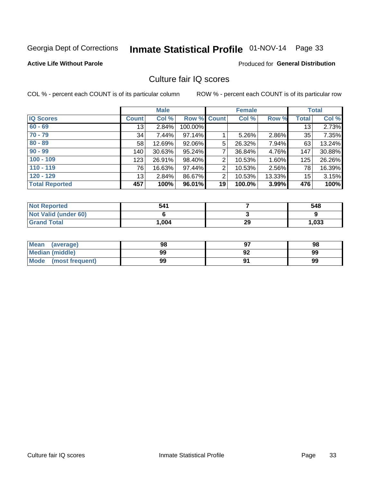# Inmate Statistical Profile 01-NOV-14 Page 33

#### **Active Life Without Parole**

### Produced for General Distribution

### Culture fair IQ scores

COL % - percent each COUNT is of its particular column

|                       | <b>Male</b>  |        | <b>Female</b>      |                |        | <b>Total</b> |              |        |
|-----------------------|--------------|--------|--------------------|----------------|--------|--------------|--------------|--------|
| <b>IQ Scores</b>      | <b>Count</b> | Col %  | <b>Row % Count</b> |                | Col %  | Row %        | <b>Total</b> | Col %  |
| $60 - 69$             | 13           | 2.84%  | 100.00%            |                |        |              | 13           | 2.73%  |
| $70 - 79$             | 34           | 7.44%  | 97.14%             |                | 5.26%  | 2.86%        | 35           | 7.35%  |
| $80 - 89$             | 58           | 12.69% | 92.06%             | 5              | 26.32% | 7.94%        | 63           | 13.24% |
| $90 - 99$             | 140          | 30.63% | 95.24%             | 7              | 36.84% | 4.76%        | 147          | 30.88% |
| $100 - 109$           | 123          | 26.91% | 98.40%             | $\overline{2}$ | 10.53% | 1.60%        | 125          | 26.26% |
| $110 - 119$           | 76           | 16.63% | 97.44%             | 2              | 10.53% | 2.56%        | 78           | 16.39% |
| $120 - 129$           | 13           | 2.84%  | 86.67%             | $\overline{2}$ | 10.53% | 13.33%       | 15           | 3.15%  |
| <b>Total Reported</b> | 457          | 100%   | 96.01%             | 19             | 100.0% | 3.99%        | 476          | 100%   |

| <b>Not Reported</b>         | 541    |    | 548   |
|-----------------------------|--------|----|-------|
| <b>Not Valid (under 60)</b> |        |    |       |
| <b>Grand Total</b>          | 004. ا | 29 | 1,033 |

| <b>Mean</b><br>(average) | 98 |    | 98 |
|--------------------------|----|----|----|
| <b>Median (middle)</b>   | 99 | 92 | 99 |
| Mode<br>(most frequent)  | 99 |    | 99 |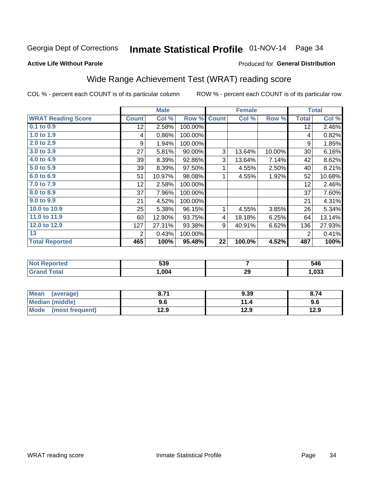# Inmate Statistical Profile 01-NOV-14 Page 34

#### **Active Life Without Parole**

### Produced for General Distribution

# Wide Range Achievement Test (WRAT) reading score

COL % - percent each COUNT is of its particular column

|                           | <b>Male</b>    |        |         | <b>Female</b> | <b>Total</b> |        |                |        |
|---------------------------|----------------|--------|---------|---------------|--------------|--------|----------------|--------|
| <b>WRAT Reading Score</b> | <b>Count</b>   | Col %  | Row %   | <b>Count</b>  | Col %        | Row %  | <b>Total</b>   | Col %  |
| $0.1$ to $0.9$            | 12             | 2.58%  | 100.00% |               |              |        | 12             | 2.46%  |
| 1.0 to 1.9                | 4              | 0.86%  | 100.00% |               |              |        | 4              | 0.82%  |
| 2.0 to 2.9                | 9              | 1.94%  | 100.00% |               |              |        | 9              | 1.85%  |
| 3.0 to 3.9                | 27             | 5.81%  | 90.00%  | 3             | 13.64%       | 10.00% | 30             | 6.16%  |
| 4.0 to 4.9                | 39             | 8.39%  | 92.86%  | 3             | 13.64%       | 7.14%  | 42             | 8.62%  |
| 5.0 to 5.9                | 39             | 8.39%  | 97.50%  | 1             | 4.55%        | 2.50%  | 40             | 8.21%  |
| 6.0 to 6.9                | 51             | 10.97% | 98.08%  | 1             | 4.55%        | 1.92%  | 52             | 10.68% |
| 7.0 to 7.9                | 12             | 2.58%  | 100.00% |               |              |        | 12             | 2.46%  |
| 8.0 to 8.9                | 37             | 7.96%  | 100.00% |               |              |        | 37             | 7.60%  |
| $9.0 \text{ to } 9.9$     | 21             | 4.52%  | 100.00% |               |              |        | 21             | 4.31%  |
| 10.0 to 10.9              | 25             | 5.38%  | 96.15%  | 1             | 4.55%        | 3.85%  | 26             | 5.34%  |
| 11.0 to 11.9              | 60             | 12.90% | 93.75%  | 4             | 18.18%       | 6.25%  | 64             | 13.14% |
| 12.0 to 12.9              | 127            | 27.31% | 93.38%  | 9             | 40.91%       | 6.62%  | 136            | 27.93% |
| 13                        | $\overline{2}$ | 0.43%  | 100.00% |               |              |        | $\overline{2}$ | 0.41%  |
| <b>Total Reported</b>     | 465            | 100%   | 95.48%  | 22            | 100.0%       | 4.52%  | 487            | 100%   |

| <b>Not</b><br>Reported | 539  |          | 546  |
|------------------------|------|----------|------|
| <b>Total</b>           | .004 | ററ<br>∠ง | ,033 |

| Mean<br>(average)    | 8.71 | 9.39 | 8.74 |
|----------------------|------|------|------|
| Median (middle)      | 9.6  | 11.4 | 9.6  |
| Mode (most frequent) | 12.9 | 12.9 | 12.9 |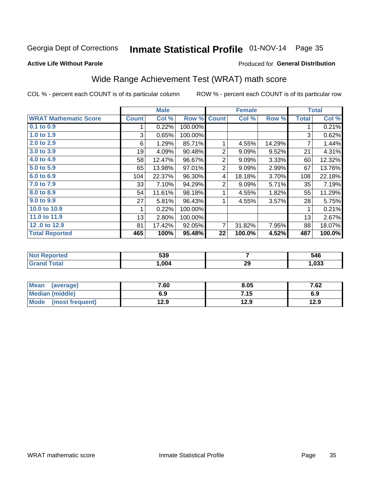# Inmate Statistical Profile 01-NOV-14 Page 35

### **Active Life Without Parole**

### **Produced for General Distribution**

# Wide Range Achievement Test (WRAT) math score

COL % - percent each COUNT is of its particular column

|                              |              | <b>Male</b>               |         |              | <b>Female</b> |        |              | <b>Total</b> |
|------------------------------|--------------|---------------------------|---------|--------------|---------------|--------|--------------|--------------|
| <b>WRAT Mathematic Score</b> | <b>Count</b> | $\overline{\text{Col}}$ % | Row %   | <b>Count</b> | Col %         | Row %  | <b>Total</b> | Col %        |
| 0.1 to 0.9                   |              | 0.22%                     | 100.00% |              |               |        |              | 0.21%        |
| 1.0 to 1.9                   | 3            | 0.65%                     | 100.00% |              |               |        | 3            | 0.62%        |
| 2.0 to 2.9                   | 6            | 1.29%                     | 85.71%  |              | 4.55%         | 14.29% | 7            | 1.44%        |
| 3.0 to 3.9                   | 19           | 4.09%                     | 90.48%  | 2            | 9.09%         | 9.52%  | 21           | 4.31%        |
| 4.0 to 4.9                   | 58           | 12.47%                    | 96.67%  | 2            | 9.09%         | 3.33%  | 60           | 12.32%       |
| 5.0 to 5.9                   | 65           | 13.98%                    | 97.01%  | 2            | 9.09%         | 2.99%  | 67           | 13.76%       |
| 6.0 to 6.9                   | 104          | 22.37%                    | 96.30%  | 4            | 18.18%        | 3.70%  | 108          | 22.18%       |
| 7.0 to 7.9                   | 33           | 7.10%                     | 94.29%  | 2            | 9.09%         | 5.71%  | 35           | 7.19%        |
| 8.0 to 8.9                   | 54           | 11.61%                    | 98.18%  |              | 4.55%         | 1.82%  | 55           | 11.29%       |
| 9.0 to 9.9                   | 27           | 5.81%                     | 96.43%  | 1            | 4.55%         | 3.57%  | 28           | 5.75%        |
| 10.0 to 10.9                 |              | 0.22%                     | 100.00% |              |               |        | 1            | 0.21%        |
| 11.0 to $11.9$               | 13           | 2.80%                     | 100.00% |              |               |        | 13           | 2.67%        |
| 12.0 to 12.9                 | 81           | 17.42%                    | 92.05%  | 7            | 31.82%        | 7.95%  | 88           | 18.07%       |
| <b>Total Reported</b>        | 465          | 100%                      | 95.48%  | 22           | 100.0%        | 4.52%  | 487          | 100.0%       |

| rtea | 539  |    | 546  |
|------|------|----|------|
|      | ,004 | 29 | ,033 |

| <b>Mean</b><br>(average) | 7.60 | 8.05 | 7.62 |
|--------------------------|------|------|------|
| Median (middle)          | 6.9  | 7.15 | 6.9  |
| Mode (most frequent)     | 12.9 | 12.9 | 12.9 |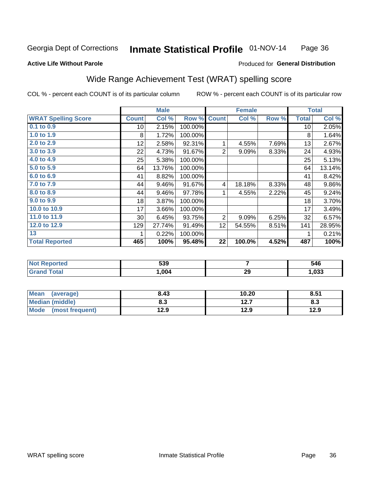#### Inmate Statistical Profile 01-NOV-14 Page 36

#### **Active Life Without Parole**

### Produced for General Distribution

### Wide Range Achievement Test (WRAT) spelling score

COL % - percent each COUNT is of its particular column

| <b>WRAT Spelling Score</b><br>$0.1$ to $0.9$<br>1.0 to 1.9<br>2.0 to 2.9 | <b>Count</b><br>10<br>8 | Col %<br>2.15% | Row %<br>100.00% | <b>Count</b>   | Col %  | Row % | <b>Total</b> | Col $%$ |
|--------------------------------------------------------------------------|-------------------------|----------------|------------------|----------------|--------|-------|--------------|---------|
|                                                                          |                         |                |                  |                |        |       |              |         |
|                                                                          |                         |                |                  |                |        |       | 10           | 2.05%   |
|                                                                          |                         | 1.72%          | 100.00%          |                |        |       | 8            | 1.64%   |
|                                                                          | 12                      | 2.58%          | 92.31%           | 1              | 4.55%  | 7.69% | 13           | 2.67%   |
| 3.0 to 3.9                                                               | 22                      | 4.73%          | 91.67%           | $\overline{2}$ | 9.09%  | 8.33% | 24           | 4.93%   |
| 4.0 to 4.9                                                               | 25                      | 5.38%          | 100.00%          |                |        |       | 25           | 5.13%   |
| 5.0 t0 5.9                                                               | 64                      | 13.76%         | 100.00%          |                |        |       | 64           | 13.14%  |
| 6.0 to 6.9                                                               | 41                      | 8.82%          | 100.00%          |                |        |       | 41           | 8.42%   |
| 7.0 to 7.9                                                               | 44                      | 9.46%          | 91.67%           | 4              | 18.18% | 8.33% | 48           | 9.86%   |
| 8.0 to 8.9                                                               | 44                      | 9.46%          | 97.78%           |                | 4.55%  | 2.22% | 45           | 9.24%   |
| 9.0 to 9.9                                                               | 18                      | 3.87%          | 100.00%          |                |        |       | 18           | 3.70%   |
| 10.0 to 10.9                                                             | 17                      | 3.66%          | 100.00%          |                |        |       | 17           | 3.49%   |
| 11.0 to 11.9                                                             | 30                      | 6.45%          | 93.75%           | 2              | 9.09%  | 6.25% | 32           | 6.57%   |
| 12.0 to 12.9                                                             | 129                     | 27.74%         | 91.49%           | 12             | 54.55% | 8.51% | 141          | 28.95%  |
| 13                                                                       |                         | 0.22%          | 100.00%          |                |        |       |              | 0.21%   |
| <b>Total Reported</b>                                                    | 465                     | 100%           | 95.48%           | 22             | 100.0% | 4.52% | 487          | 100%    |

| <b>Not Reported</b> | 539  |    | 546  |
|---------------------|------|----|------|
| <b>Total</b>        | .004 | 29 | ,033 |

| <b>Mean</b><br>(average)       | 8.43 | 10.20        | 8.51 |
|--------------------------------|------|--------------|------|
| <b>Median (middle)</b>         | 8.3  | 127<br>I 4.I | ი.ა  |
| <b>Mode</b><br>(most frequent) | 12.9 | 12.9         | 12.9 |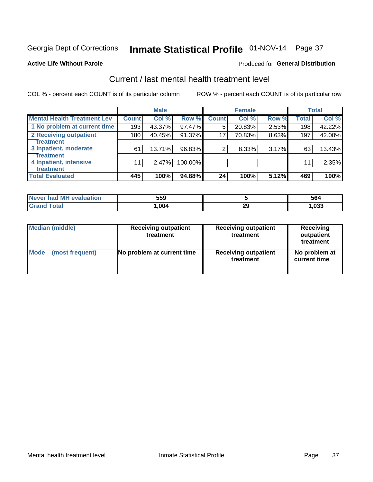# Inmate Statistical Profile 01-NOV-14 Page 37

#### **Active Life Without Parole**

### Produced for General Distribution

# Current / last mental health treatment level

COL % - percent each COUNT is of its particular column

|                                    |              | <b>Male</b> |           |              | <b>Female</b> |       |              | <b>Total</b> |
|------------------------------------|--------------|-------------|-----------|--------------|---------------|-------|--------------|--------------|
| <b>Mental Health Treatment Lev</b> | <b>Count</b> | Col %       | Row %     | <b>Count</b> | Col %         | Row % | <b>Total</b> | Col %        |
| 1 No problem at current time       | 193          | 43.37%      | 97.47%    | 5            | 20.83%        | 2.53% | 198          | 42.22%       |
| 2 Receiving outpatient             | 180          | 40.45%      | $91.37\%$ | 17           | 70.83%        | 8.63% | 197          | 42.00%       |
| <b>Treatment</b>                   |              |             |           |              |               |       |              |              |
| 3 Inpatient, moderate              | 61           | 13.71%      | 96.83%    | 2            | 8.33%         | 3.17% | 63           | 13.43%       |
| <b>Treatment</b>                   |              |             |           |              |               |       |              |              |
| 4 Inpatient, intensive             | 11           | 2.47%       | 100.00%   |              |               |       | 11           | 2.35%        |
| <b>Treatment</b>                   |              |             |           |              |               |       |              |              |
| <b>Total Evaluated</b>             | 445          | 100%        | 94.88%    | 24           | 100%          | 5.12% | 469          | 100%         |

| Never had MH evaluation | 559    |    | 564  |
|-------------------------|--------|----|------|
| $\tau$ otal             | 004، ا | 29 | ,033 |

| <b>Median (middle)</b> | <b>Receiving outpatient</b><br>treatment | <b>Receiving outpatient</b><br>treatment | <b>Receiving</b><br>outpatient<br>treatment |  |
|------------------------|------------------------------------------|------------------------------------------|---------------------------------------------|--|
| <b>Mode</b>            | No problem at current time               | <b>Receiving outpatient</b>              | No problem at                               |  |
| (most frequent)        |                                          | treatment                                | current time                                |  |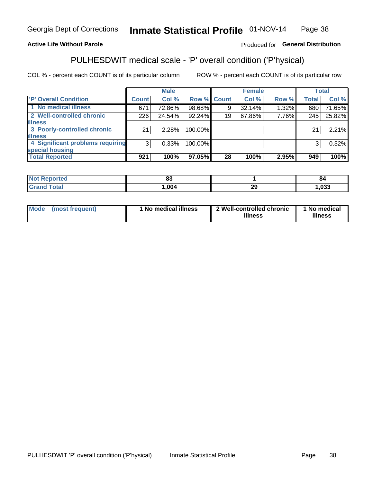#### Inmate Statistical Profile 01-NOV-14 Page 38

### **Active Life Without Parole**

### Produced for General Distribution

# PULHESDWIT medical scale - 'P' overall condition ('P'hysical)

COL % - percent each COUNT is of its particular column

|                                  |                | <b>Male</b> |             |    | <b>Female</b> |       |              | <b>Total</b> |
|----------------------------------|----------------|-------------|-------------|----|---------------|-------|--------------|--------------|
| 'P' Overall Condition            | Count l        | Col %       | Row % Count |    | Col %         | Row % | <b>Total</b> | Col %        |
| 1 No medical illness             | 671            | 72.86%      | 98.68%      | 9  | 32.14%        | 1.32% | 680          | 71.65%       |
| 2 Well-controlled chronic        | 226            | 24.54%      | 92.24%      | 19 | 67.86%        | 7.76% | 245          | 25.82%       |
| <b>illness</b>                   |                |             |             |    |               |       |              |              |
| 3 Poorly-controlled chronic      | 21             | 2.28%       | 100.00%     |    |               |       | 21           | 2.21%        |
| <b>illness</b>                   |                |             |             |    |               |       |              |              |
| 4 Significant problems requiring | 3 <sup>1</sup> | 0.33%       | 100.00%     |    |               |       | 3            | 0.32%        |
| special housing                  |                |             |             |    |               |       |              |              |
| <b>Total Reported</b>            | 921            | 100%        | 97.05%      | 28 | 100%          | 2.95% | 949          | 100%         |

| τeα           | e.<br>w         |                                | O4          |
|---------------|-----------------|--------------------------------|-------------|
| <u>i</u> Utal | nn <sub>1</sub> | $\overline{\phantom{a}}$<br>23 | nnn<br>,საა |

| <b>Mode</b> | (most frequent) | 1 No medical illness | 2 Well-controlled chronic<br>illness | 1 No medical<br>illness |
|-------------|-----------------|----------------------|--------------------------------------|-------------------------|
|-------------|-----------------|----------------------|--------------------------------------|-------------------------|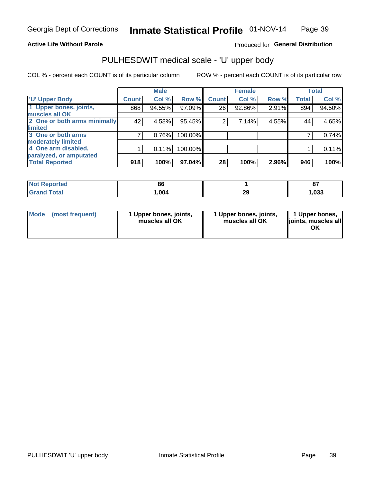### **Active Life Without Parole**

### Produced for General Distribution

# PULHESDWIT medical scale - 'U' upper body

COL % - percent each COUNT is of its particular column

|                              |               | <b>Male</b> |         |              | <b>Female</b> |       |              | <b>Total</b> |
|------------------------------|---------------|-------------|---------|--------------|---------------|-------|--------------|--------------|
| <b>U' Upper Body</b>         | <b>Count!</b> | Col %       | Row %   | <b>Count</b> | Col %         | Row % | <b>Total</b> | Col %        |
| 1 Upper bones, joints,       | 868           | 94.55%      | 97.09%  | 26           | 92.86%        | 2.91% | 894          | 94.50%       |
| muscles all OK               |               |             |         |              |               |       |              |              |
| 2 One or both arms minimally | 42            | 4.58%       | 95.45%  | 2            | 7.14%         | 4.55% | 44           | 4.65%        |
| limited                      |               |             |         |              |               |       |              |              |
| 3 One or both arms           | 7             | 0.76%       | 100.00% |              |               |       |              | 0.74%        |
| <b>moderately limited</b>    |               |             |         |              |               |       |              |              |
| 4 One arm disabled,          |               | 0.11%       | 100.00% |              |               |       |              | 0.11%        |
| paralyzed, or amputated      |               |             |         |              |               |       |              |              |
| <b>Total Reported</b>        | 918           | 100%        | 97.04%  | 28           | 100%          | 2.96% | 946          | 100%         |

| <b>Not Reported</b> | 86   |    | $\sim$<br>o. |
|---------------------|------|----|--------------|
| Total               | ,004 | 29 | ,033         |

| Mode | (most frequent) | 1 Upper bones, joints,<br>muscles all OK | 1 Upper bones, joints,<br>muscles all OK | 1 Upper bones,<br>ljoints, muscles all<br>OK |
|------|-----------------|------------------------------------------|------------------------------------------|----------------------------------------------|
|------|-----------------|------------------------------------------|------------------------------------------|----------------------------------------------|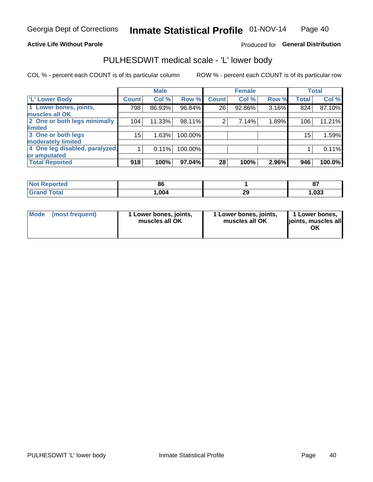### **Active Life Without Parole**

### Produced for General Distribution

### PULHESDWIT medical scale - 'L' lower body

COL % - percent each COUNT is of its particular column

|                                |              | <b>Male</b> |         |                | <b>Female</b> |       |              | <b>Total</b> |
|--------------------------------|--------------|-------------|---------|----------------|---------------|-------|--------------|--------------|
| 'L' Lower Body                 | <b>Count</b> | Col %       | Row %   | <b>Count</b>   | Col %         | Row % | <b>Total</b> | Col %        |
| 1 Lower bones, joints,         | 798          | 86.93%      | 96.84%  | 26             | 92.86%        | 3.16% | 824          | 87.10%       |
| muscles all OK                 |              |             |         |                |               |       |              |              |
| 2 One or both legs minimally   | 104          | 11.33%      | 98.11%  | $\overline{2}$ | 7.14%         | 1.89% | 106          | 11.21%       |
| limited                        |              |             |         |                |               |       |              |              |
| 3 One or both legs             | $15\,$       | 1.63%       | 100.00% |                |               |       | 15           | 1.59%        |
| moderately limited             |              |             |         |                |               |       |              |              |
| 4 One leg disabled, paralyzed, |              | 0.11%       | 100.00% |                |               |       |              | 0.11%        |
| or amputated                   |              |             |         |                |               |       |              |              |
| <b>Total Reported</b>          | 918          | 100%        | 97.04%  | 28             | 100%          | 2.96% | 946          | 100.0%       |

| <b>Not Reported</b> | 86   |    | $\sim$ |
|---------------------|------|----|--------|
| <b>Total</b>        | ,004 | 29 | ,033   |

| Mode | (most frequent) | 1 Lower bones, joints,<br>muscles all OK | 1 Lower bones, joints,<br>muscles all OK | 1 Lower bones,<br>ljoints, muscles all<br>OK |
|------|-----------------|------------------------------------------|------------------------------------------|----------------------------------------------|
|------|-----------------|------------------------------------------|------------------------------------------|----------------------------------------------|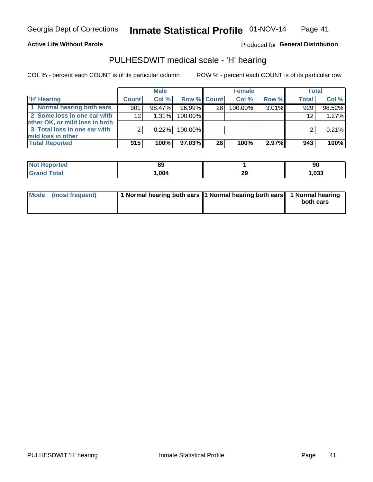### **Active Life Without Parole**

Produced for General Distribution

### PULHESDWIT medical scale - 'H' hearing

COL % - percent each COUNT is of its particular column

|                                                               |              | <b>Male</b> |             |    | <b>Female</b> |       | <b>Total</b> |          |
|---------------------------------------------------------------|--------------|-------------|-------------|----|---------------|-------|--------------|----------|
| <b>H'</b> Hearing                                             | <b>Count</b> | Col %       | Row % Count |    | Col%          | Row % | <b>Total</b> | Col %    |
| 1 Normal hearing both ears                                    | 901          | 98.47%      | 96.99%      | 28 | 100.00%       | 3.01% | 929          | 98.52%   |
| 2 Some loss in one ear with<br>other OK, or mild loss in both | 12           | $1.31\%$    | 100.00%     |    |               |       | 12           | 1.27%    |
| 3 Total loss in one ear with<br>mild loss in other            | 2            | 0.22%       | 100.00%     |    |               |       |              | $0.21\%$ |
| <b>Total Reported</b>                                         | 915          | 100%        | 97.03%      | 28 | 100%          | 2.97% | 943          | 100%     |

| <b>Not</b><br><b>Reported</b> | 89   |           | nr.<br>ັບ     |
|-------------------------------|------|-----------|---------------|
| <b>Total</b>                  | ,004 | nr<br>- - | nnn<br>נכט, ו |

| Mode (most frequent) | 1 Normal hearing both ears 1 Normal hearing both ears 1 Normal hearing | both ears |
|----------------------|------------------------------------------------------------------------|-----------|
|                      |                                                                        |           |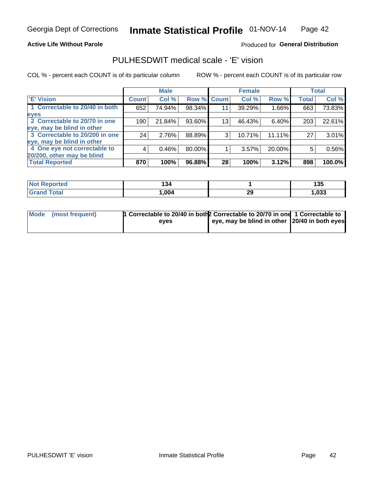### **Active Life Without Parole**

### Produced for General Distribution

### PULHESDWIT medical scale - 'E' vision

COL % - percent each COUNT is of its particular column

|                                |              | <b>Male</b> |        |                 | <b>Female</b> |        |              | <b>Total</b> |
|--------------------------------|--------------|-------------|--------|-----------------|---------------|--------|--------------|--------------|
| <b>E' Vision</b>               | <b>Count</b> | Col %       |        | Row % Count     | Col %         | Row %  | <b>Total</b> | Col %        |
| 1 Correctable to 20/40 in both | 652          | 74.94%      | 98.34% | 11              | 39.29%        | 1.66%  | 663          | 73.83%       |
| eyes                           |              |             |        |                 |               |        |              |              |
| 2 Correctable to 20/70 in one  | 190          | 21.84%      | 93.60% | 13 <sub>1</sub> | 46.43%        | 6.40%  | 203          | 22.61%       |
| eye, may be blind in other     |              |             |        |                 |               |        |              |              |
| 3 Correctable to 20/200 in one | 24           | 2.76%       | 88.89% | 3               | 10.71%        | 11.11% | 27           | 3.01%        |
| eye, may be blind in other     |              |             |        |                 |               |        |              |              |
| 4 One eye not correctable to   | 4            | 0.46%       | 80.00% |                 | 3.57%         | 20.00% | 5            | 0.56%        |
| 20/200, other may be blind     |              |             |        |                 |               |        |              |              |
| <b>Total Reported</b>          | 870          | 100%        | 96.88% | 28              | 100%          | 3.12%  | 898          | 100.0%       |

| <b>Not Reported</b>   | 194  |          | .<br>. .<br>135 |
|-----------------------|------|----------|-----------------|
| <b>Total</b><br>Grand | ,004 | nr<br>25 | ,033            |

| Mode (most frequent) | 1 Correctable to 20/40 in both 2 Correctable to 20/70 in one 1 Correctable to<br>eves | eye, may be blind in other 20/40 in both eyes |  |
|----------------------|---------------------------------------------------------------------------------------|-----------------------------------------------|--|
|                      |                                                                                       |                                               |  |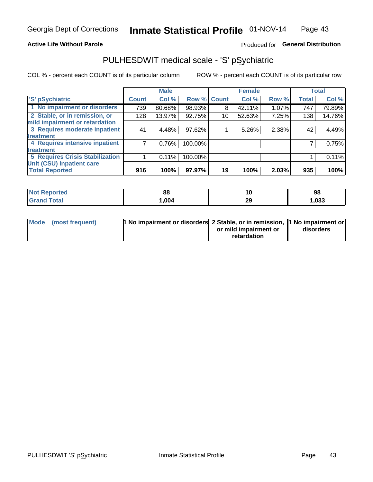### **Active Life Without Parole**

### Produced for General Distribution

# PULHESDWIT medical scale - 'S' pSychiatric

COL % - percent each COUNT is of its particular column

|                                        |              | <b>Male</b> |         |             | <b>Female</b> |       |              | <b>Total</b> |
|----------------------------------------|--------------|-------------|---------|-------------|---------------|-------|--------------|--------------|
| 'S' pSychiatric                        | <b>Count</b> | Col %       |         | Row % Count | Col %         | Row % | <b>Total</b> | Col %        |
| 1 No impairment or disorders           | 739          | 80.68%      | 98.93%  | 8           | 42.11%        | 1.07% | 747          | 79.89%       |
| 2 Stable, or in remission, or          | 128          | 13.97%      | 92.75%  | 10          | 52.63%        | 7.25% | 138          | 14.76%       |
| mild impairment or retardation         |              |             |         |             |               |       |              |              |
| 3 Requires moderate inpatient          | 41           | 4.48%       | 97.62%  |             | 5.26%         | 2.38% | 42           | 4.49%        |
| treatment                              |              |             |         |             |               |       |              |              |
| 4 Requires intensive inpatient         |              | 0.76%       | 100.00% |             |               |       |              | 0.75%        |
| treatment                              |              |             |         |             |               |       |              |              |
| <b>5 Requires Crisis Stabilization</b> |              | 0.11%       | 100.00% |             |               |       |              | 0.11%        |
| Unit (CSU) inpatient care              |              |             |         |             |               |       |              |              |
| <b>Total Reported</b>                  | 916          | 100%        | 97.97%  | 19          | 100%          | 2.03% | 935          | 100%         |

| <b>Not Reported</b> | $\mathbf{C}$<br>oc | 10       | 98    |
|---------------------|--------------------|----------|-------|
| Total<br>' Grand    | ,004               | າດ<br>20 | 1,033 |

| Mode (most frequent) | <b>1 No impairment or disorders 2 Stable, or in remission, 1 No impairment or</b> |                       |           |
|----------------------|-----------------------------------------------------------------------------------|-----------------------|-----------|
|                      |                                                                                   | or mild impairment or | disorders |
|                      |                                                                                   | retardation           |           |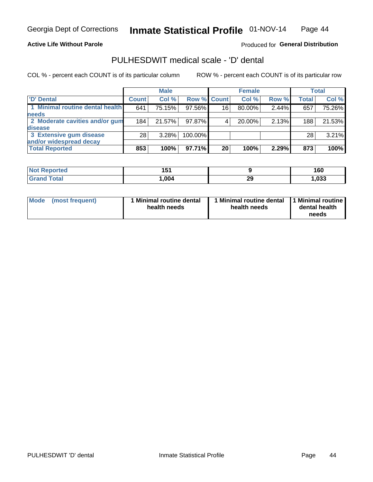### **Active Life Without Parole**

### Produced for General Distribution

### PULHESDWIT medical scale - 'D' dental

COL % - percent each COUNT is of its particular column

|                                 |              | <b>Male</b> |             |    | <b>Female</b> |       |              | Total  |
|---------------------------------|--------------|-------------|-------------|----|---------------|-------|--------------|--------|
| 'D' Dental                      | <b>Count</b> | Col %       | Row % Count |    | Col %         | Row % | <b>Total</b> | Col %  |
| 1 Minimal routine dental health | 641          | 75.15%      | 97.56%      | 16 | 80.00%        | 2.44% | 657          | 75.26% |
| <b>needs</b>                    |              |             |             |    |               |       |              |        |
| 2 Moderate cavities and/or gum  | 184          | 21.57%      | 97.87%      |    | 20.00%        | 2.13% | 188          | 21.53% |
| disease                         |              |             |             |    |               |       |              |        |
| 3 Extensive gum disease         | 28           | 3.28%       | 100.00%     |    |               |       | 28           | 3.21%  |
| and/or widespread decay         |              |             |             |    |               |       |              |        |
| <b>Total Reported</b>           | 853          | 100%        | 97.71%      | 20 | 100%          | 2.29% | 873          | 100%   |

| prted<br>NOT F | 4 E 4<br>J |           | 160  |
|----------------|------------|-----------|------|
| <b>Total</b>   | 004, ا     | ንር<br>-43 | ,033 |

| Mode<br>(most frequent) | Minimal routine dental<br>health needs | <b>Minimal routine dental</b><br>health needs | 1 Minimal routine<br>dental health<br>needs |
|-------------------------|----------------------------------------|-----------------------------------------------|---------------------------------------------|
|-------------------------|----------------------------------------|-----------------------------------------------|---------------------------------------------|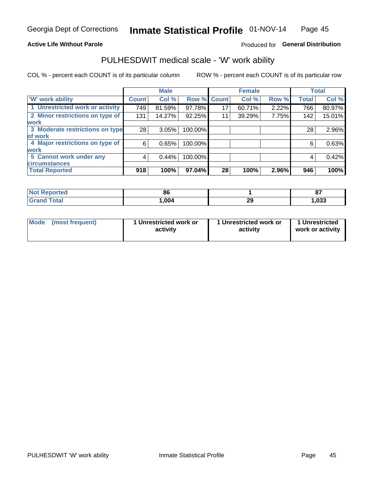### **Active Life Without Parole**

### Produced for General Distribution

### PULHESDWIT medical scale - 'W' work ability

COL % - percent each COUNT is of its particular column

|                                 |              | <b>Male</b> |         |             | <b>Female</b> |       |              | <b>Total</b> |
|---------------------------------|--------------|-------------|---------|-------------|---------------|-------|--------------|--------------|
| <b>W' work ability</b>          | <b>Count</b> | Col %       |         | Row % Count | Col %         | Row % | <b>Total</b> | Col %        |
| 1 Unrestricted work or activity | 749          | 81.59%      | 97.78%  | 17          | 60.71%        | 2.22% | 766          | 80.97%       |
| 2 Minor restrictions on type of | 131          | 14.27%      | 92.25%  | 11          | 39.29%        | 7.75% | 142          | 15.01%       |
| <b>work</b>                     |              |             |         |             |               |       |              |              |
| 3 Moderate restrictions on type | 28           | 3.05%       | 100.00% |             |               |       | 28           | 2.96%        |
| lof work                        |              |             |         |             |               |       |              |              |
| 4 Major restrictions on type of | 6            | 0.65%       | 100.00% |             |               |       | 6            | 0.63%        |
| <b>work</b>                     |              |             |         |             |               |       |              |              |
| 5 Cannot work under any         | 4            | 0.44%       | 100.00% |             |               |       | 4            | 0.42%        |
| <b>circumstances</b>            |              |             |         |             |               |       |              |              |
| <b>Total Reported</b>           | 918          | 100%        | 97.04%  | 28          | 100%          | 2.96% | 946          | 100%         |

| <b>Not Reported</b> | oc   |          | 07<br>$\mathbf{v}$ |
|---------------------|------|----------|--------------------|
| <b>Grand Total</b>  | ,004 | ኅሮ<br>29 | 033, ا             |

| <b>Mode</b> | (most frequent) | 1 Unrestricted work or<br>activity | 1 Unrestricted work or<br>activity | 1 Unrestricted<br>work or activity |
|-------------|-----------------|------------------------------------|------------------------------------|------------------------------------|
|-------------|-----------------|------------------------------------|------------------------------------|------------------------------------|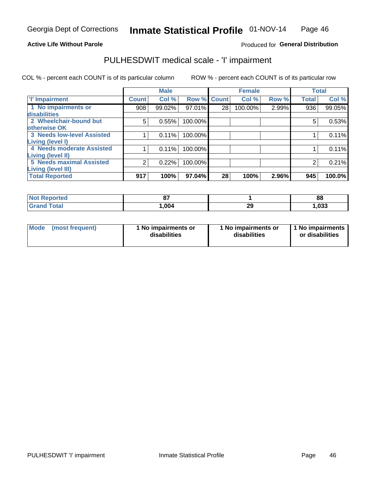### **Active Life Without Parole**

### Produced for General Distribution

### PULHESDWIT medical scale - 'I' impairment

|                                                              |              | <b>Male</b> |             |    | <b>Female</b> |       | <b>Total</b> |        |
|--------------------------------------------------------------|--------------|-------------|-------------|----|---------------|-------|--------------|--------|
| <b>T' Impairment</b>                                         | <b>Count</b> | Col %       | Row % Count |    | Col %         | Row % | <b>Total</b> | Col %  |
| 1 No impairments or<br><b>disabilities</b>                   | 908          | 99.02%      | 97.01%      | 28 | 100.00%       | 2.99% | 936          | 99.05% |
| 2 Wheelchair-bound but<br>otherwise OK                       | 5            | 0.55%       | 100.00%     |    |               |       | 5            | 0.53%  |
| <b>3 Needs low-level Assisted</b><br>Living (level I)        |              | 0.11%       | 100.00%     |    |               |       |              | 0.11%  |
| 4 Needs moderate Assisted<br>Living (level II)               |              | 0.11%       | 100.00%     |    |               |       |              | 0.11%  |
| <b>5 Needs maximal Assisted</b><br><b>Living (level III)</b> | 2            | 0.22%       | 100.00%     |    |               |       |              | 0.21%  |
| <b>Total Reported</b>                                        | 917          | 100%        | 97.04%      | 28 | 100%          | 2.96% | 945          | 100.0% |

| eported     | ^7<br>$\mathbf{u}$ |          | 88    |
|-------------|--------------------|----------|-------|
| <b>otal</b> | .004               | າເ<br>29 | 1,033 |

| Mode | (most frequent) | 1 No impairments or<br>disabilities | 1 No impairments or<br>disabilities | 1 No impairments<br>or disabilities |
|------|-----------------|-------------------------------------|-------------------------------------|-------------------------------------|
|------|-----------------|-------------------------------------|-------------------------------------|-------------------------------------|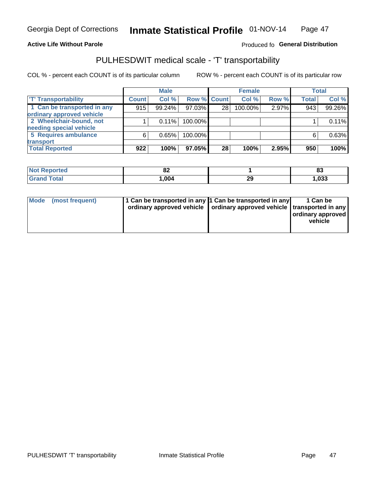### **Active Life Without Parole**

### Produced fo General Distribution

### PULHESDWIT medical scale - 'T' transportability

COL % - percent each COUNT is of its particular column

|                             |              | <b>Male</b> |             |    | <b>Female</b> |       |              | <b>Total</b> |
|-----------------------------|--------------|-------------|-------------|----|---------------|-------|--------------|--------------|
| <b>T' Transportability</b>  | <b>Count</b> | Col %       | Row % Count |    | Col %         | Row % | <b>Total</b> | Col %        |
| 1 Can be transported in any | 915          | 99.24%      | 97.03%      | 28 | 100.00%       | 2.97% | 943          | 99.26%       |
| ordinary approved vehicle   |              |             |             |    |               |       |              |              |
| 2 Wheelchair-bound, not     |              | 0.11%       | 100.00%     |    |               |       |              | 0.11%        |
| needing special vehicle     |              |             |             |    |               |       |              |              |
| 5 Requires ambulance        | 6            | 0.65%       | 100.00%     |    |               |       |              | 0.63%        |
| transport                   |              |             |             |    |               |       |              |              |
| <b>Total Reported</b>       | 922          | 100%        | 97.05%      | 28 | 100%          | 2.95% | 950          | 100%         |

| Reported | $\mathbf{C}$<br>○▲<br>$\sim$ |              | o.<br>ია |
|----------|------------------------------|--------------|----------|
| `otal    | .004                         | 29<br>$\sim$ | 1,033    |

| Mode (most frequent) | 1 Can be transported in any 1 Can be transported in any | ordinary approved vehicle   ordinary approved vehicle   transported in any | 1 Can be<br>ordinary approved<br>vehicle |
|----------------------|---------------------------------------------------------|----------------------------------------------------------------------------|------------------------------------------|
|                      |                                                         |                                                                            |                                          |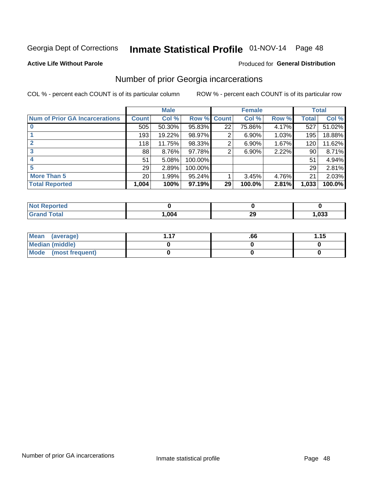# Inmate Statistical Profile 01-NOV-14 Page 48

#### **Active Life Without Parole**

### **Produced for General Distribution**

### Number of prior Georgia incarcerations

COL % - percent each COUNT is of its particular column

|                                       |                 | <b>Male</b> |           |                 | <b>Female</b> |       |       | <b>Total</b> |
|---------------------------------------|-----------------|-------------|-----------|-----------------|---------------|-------|-------|--------------|
| <b>Num of Prior GA Incarcerations</b> | <b>Count</b>    | Col %       | Row %     | <b>Count</b>    | Col %         | Row % | Total | Col %        |
|                                       | 505             | 50.30%      | 95.83%    | 22              | 75.86%        | 4.17% | 527   | 51.02%       |
|                                       | 193             | 19.22%      | 98.97%    | 2               | 6.90%         | 1.03% | 195   | 18.88%       |
|                                       | 118             | 11.75%      | 98.33%    | 2               | 6.90%         | 1.67% | 120   | 11.62%       |
| 3                                     | 88              | 8.76%       | 97.78%    | 2               | 6.90%         | 2.22% | 90    | 8.71%        |
| 4                                     | 51              | 5.08%       | 100.00%   |                 |               |       | 51    | 4.94%        |
| 5                                     | 29              | 2.89%       | 100.00%   |                 |               |       | 29    | 2.81%        |
| <b>More Than 5</b>                    | 20 <sup>°</sup> | 1.99%       | $95.24\%$ |                 | 3.45%         | 4.76% | 21    | 2.03%        |
| <b>Total Reported</b>                 | 1,004           | 100%        | $97.19\%$ | 29 <sup>1</sup> | 100.0%        | 2.81% | 1,033 | 100.0%       |

| ported<br><b>NOT</b> |      |         |             |
|----------------------|------|---------|-------------|
| 'otal                | ,004 | ״<br>20 | noo<br>.uss |

| Mean (average)       | .66 | 1.15 |
|----------------------|-----|------|
| Median (middle)      |     |      |
| Mode (most frequent) |     |      |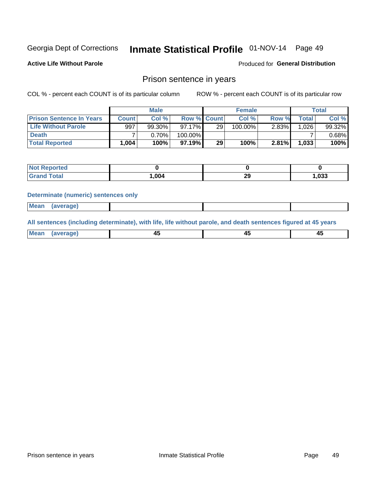# Inmate Statistical Profile 01-NOV-14 Page 49

**Active Life Without Parole** 

Produced for General Distribution

### Prison sentence in years

COL % - percent each COUNT is of its particular column

ROW % - percent each COUNT is of its particular row

|                                 |              | <b>Male</b> |                    |    | <b>Female</b> |          |             | Total  |
|---------------------------------|--------------|-------------|--------------------|----|---------------|----------|-------------|--------|
| <b>Prison Sentence In Years</b> | <b>Count</b> | Col %       | <b>Row % Count</b> |    | Col %         | Row %    | $\tau$ otal | Col %  |
| Life Without Parole             | 997          | 99.30%      | $97.17\%$          | 29 | 100.00%       | $2.83\%$ | 1.0261      | 99.32% |
| <b>Death</b>                    |              | $0.70\%$    | 100.00%            |    |               |          |             | 0.68%  |
| <b>Total Reported</b>           | .004         | 100%        | $97.19\%$          | 29 | 100%          | $2.81\%$ | 1,033       | 100%   |

| ported      |      |          |      |
|-------------|------|----------|------|
| <b>otal</b> | .004 | ററ<br>~~ | .033 |

#### **Determinate (numeric) sentences only**

| ' Mea<br><b>Service</b> A<br>ЯМА. |  |  |  |
|-----------------------------------|--|--|--|
|                                   |  |  |  |

All sentences (including determinate), with life, life without parole, and death sentences figured at 45 years

| l Mea<br>חר<br> | ᠇៶<br>$\sim$ | $\sim$ | ╌ |
|-----------------|--------------|--------|---|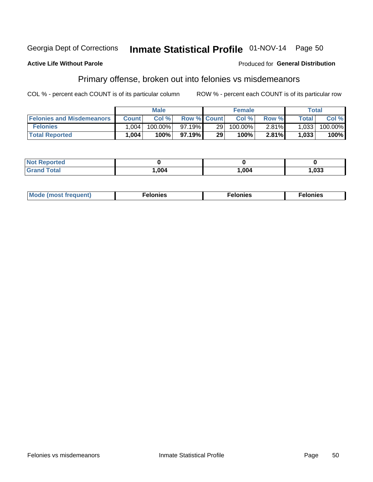#### Georgia Dept of Corrections Inmate Statistical Profile 01-NOV-14 Page 50

#### **Active Life Without Parole**

### Produced for General Distribution

### Primary offense, broken out into felonies vs misdemeanors

COL % - percent each COUNT is of its particular column

|                                  |              | <b>Male</b> |                    |                 | <b>Female</b> |       |                    | Total      |
|----------------------------------|--------------|-------------|--------------------|-----------------|---------------|-------|--------------------|------------|
| <b>Felonies and Misdemeanors</b> | <b>Count</b> | Col%        | <b>Row % Count</b> |                 | Col%          | Row % | Total <sub>1</sub> | Col %      |
| <b>Felonies</b>                  | .004         | $100.00\%$  | 97.19%             | 29 <sub>1</sub> | 100.00%       | 2.81% | 1,033              | $100.00\%$ |
| <b>Total Reported</b>            | ,004         | $100\%$     | 97.19%             | 29              | 100%          | 2.81% | 1,033              | 100%       |

| <b>Not Reported</b> |      |      |       |
|---------------------|------|------|-------|
| <b>Grand Total</b>  | ,004 | ,004 | 1,033 |

| <b>Mode</b><br>frequent)<br>nies<br>≧ (most tr.<br>. | onies<br>. | lonies<br>ею<br>____ |
|------------------------------------------------------|------------|----------------------|
|------------------------------------------------------|------------|----------------------|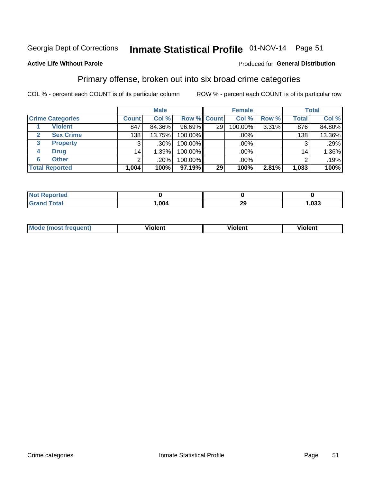# Inmate Statistical Profile 01-NOV-14 Page 51

### **Active Life Without Parole**

### Produced for General Distribution

### Primary offense, broken out into six broad crime categories

COL % - percent each COUNT is of its particular column

|                         |                 | <b>Male</b> |           |                    | <b>Female</b> |       |                 | <b>Total</b> |
|-------------------------|-----------------|-------------|-----------|--------------------|---------------|-------|-----------------|--------------|
| <b>Crime Categories</b> | <b>Count</b>    | Col %       |           | <b>Row % Count</b> | Col %         | Row % | <b>Total</b>    | Col %        |
| <b>Violent</b>          | 847             | 84.36%      | $96.69\%$ | 29                 | 100.00%       | 3.31% | 876             | 84.80%       |
| <b>Sex Crime</b>        | 138             | 13.75%      | 100.00%   |                    | .00%          |       | 138             | 13.36%       |
| 3<br><b>Property</b>    | 3               | .30%        | 100.00%   |                    | .00%          |       | 3               | .29%         |
| <b>Drug</b><br>4        | 14 <sub>1</sub> | 1.39%       | 100.00%   |                    | .00%          |       | 14 <sub>1</sub> | 1.36%        |
| <b>Other</b><br>6       | $\overline{2}$  | .20%        | 100.00%   |                    | .00%          |       | っ               | .19%         |
| <b>Total Reported</b>   | 1,004           | 100%        | 97.19%    | 29                 | 100%          | 2.81% | 1,033           | 100%         |

| <b>Not Reported</b> |      |           |       |
|---------------------|------|-----------|-------|
| <b>Grand Total</b>  | ,004 | ה ה<br>∠খ | 1,033 |

| M | . | 40 O |
|---|---|------|
|   |   |      |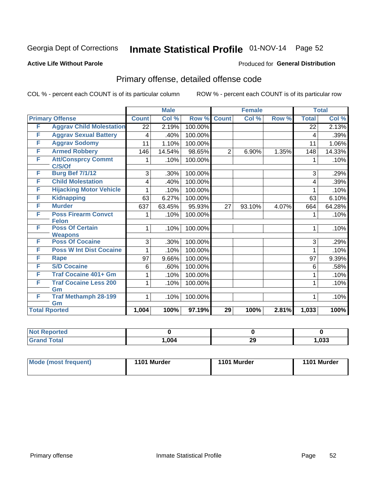# Inmate Statistical Profile 01-NOV-14 Page 52

#### **Active Life Without Parole**

### Produced for General Distribution

# Primary offense, detailed offense code

COL % - percent each COUNT is of its particular column

|   |                                            |              | <b>Male</b> |         |                 | <b>Female</b> |       |              | <b>Total</b> |
|---|--------------------------------------------|--------------|-------------|---------|-----------------|---------------|-------|--------------|--------------|
|   | <b>Primary Offense</b>                     | <b>Count</b> | Col%        | Row %   | <b>Count</b>    | Col %         | Row % | <b>Total</b> | Col %        |
| F | <b>Aggrav Child Molestation</b>            | 22           | 2.19%       | 100.00% |                 |               |       | 22           | 2.13%        |
| F | <b>Aggrav Sexual Battery</b>               | 4            | .40%        | 100.00% |                 |               |       | 4            | .39%         |
| F | <b>Aggrav Sodomy</b>                       | 11           | 1.10%       | 100.00% |                 |               |       | 11           | 1.06%        |
| F | <b>Armed Robbery</b>                       | 146          | 14.54%      | 98.65%  | $\overline{2}$  | 6.90%         | 1.35% | 148          | 14.33%       |
| F | <b>Att/Consprcy Commt</b><br>C/S/Of        |              | .10%        | 100.00% |                 |               |       |              | .10%         |
| F | <b>Burg Bef 7/1/12</b>                     | 3            | .30%        | 100.00% |                 |               |       | 3            | .29%         |
| F | <b>Child Molestation</b>                   | 4            | .40%        | 100.00% |                 |               |       | 4            | .39%         |
| F | <b>Hijacking Motor Vehicle</b>             |              | .10%        | 100.00% |                 |               |       |              | .10%         |
| F | <b>Kidnapping</b>                          | 63           | 6.27%       | 100.00% |                 |               |       | 63           | 6.10%        |
| F | <b>Murder</b>                              | 637          | 63.45%      | 95.93%  | 27              | 93.10%        | 4.07% | 664          | 64.28%       |
| F | <b>Poss Firearm Convct</b><br><b>Felon</b> | 1            | .10%        | 100.00% |                 |               |       | 1            | .10%         |
| F | <b>Poss Of Certain</b><br><b>Weapons</b>   | 1            | .10%        | 100.00% |                 |               |       | 1            | .10%         |
| F | <b>Poss Of Cocaine</b>                     | 3            | .30%        | 100.00% |                 |               |       | 3            | .29%         |
| F | <b>Poss W Int Dist Cocaine</b>             | 1            | .10%        | 100.00% |                 |               |       | 1            | .10%         |
| F | Rape                                       | 97           | 9.66%       | 100.00% |                 |               |       | 97           | 9.39%        |
| F | <b>S/D Cocaine</b>                         | 6            | .60%        | 100.00% |                 |               |       | 6            | .58%         |
| F | <b>Traf Cocaine 401+ Gm</b>                |              | .10%        | 100.00% |                 |               |       | 1            | .10%         |
| F | <b>Traf Cocaine Less 200</b>               | 1            | .10%        | 100.00% |                 |               |       | 1            | .10%         |
| F | Gm<br><b>Traf Methamph 28-199</b><br>Gm    | $\mathbf 1$  | .10%        | 100.00% |                 |               |       | 1            | .10%         |
|   | <b>Total Rported</b>                       | 1,004        | 100%        | 97.19%  | $\overline{29}$ | 100%          | 2.81% | 1,033        | 100%         |

| <b>Not Reported</b>  |      |         |       |
|----------------------|------|---------|-------|
| <b>Total</b><br>Croy | ,004 | ഹ<br>∠ะ | 1,033 |

| Mode (most frequent) | 1101 Murder | 1101 Murder | 1101 Murder |
|----------------------|-------------|-------------|-------------|
|----------------------|-------------|-------------|-------------|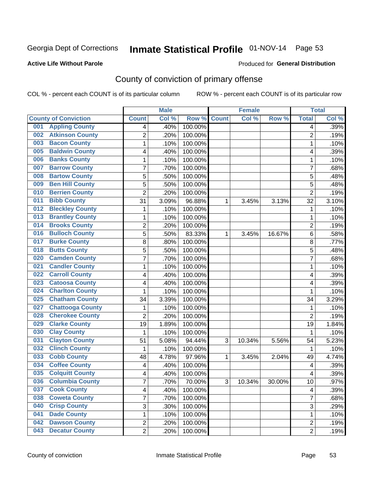# Inmate Statistical Profile 01-NOV-14 Page 53

### **Active Life Without Parole**

### Produced for General Distribution

# County of conviction of primary offense

COL % - percent each COUNT is of its particular column

|                                |                | <b>Male</b> |                  | <b>Female</b> |        |        | <b>Total</b>   |       |
|--------------------------------|----------------|-------------|------------------|---------------|--------|--------|----------------|-------|
| <b>County of Conviction</b>    | <b>Count</b>   | Col %       | Row <sup>%</sup> | <b>Count</b>  | Col %  | Row %  | <b>Total</b>   | Col % |
| <b>Appling County</b><br>001   | 4              | .40%        | 100.00%          |               |        |        | 4              | .39%  |
| <b>Atkinson County</b><br>002  | $\overline{2}$ | .20%        | 100.00%          |               |        |        | $\overline{2}$ | .19%  |
| <b>Bacon County</b><br>003     | 1              | .10%        | 100.00%          |               |        |        | 1              | .10%  |
| <b>Baldwin County</b><br>005   | 4              | .40%        | 100.00%          |               |        |        | 4              | .39%  |
| <b>Banks County</b><br>006     | 1              | .10%        | 100.00%          |               |        |        | 1              | .10%  |
| <b>Barrow County</b><br>007    | 7              | .70%        | 100.00%          |               |        |        | $\overline{7}$ | .68%  |
| <b>Bartow County</b><br>008    | 5              | .50%        | 100.00%          |               |        |        | 5              | .48%  |
| <b>Ben Hill County</b><br>009  | 5              | .50%        | 100.00%          |               |        |        | 5              | .48%  |
| <b>Berrien County</b><br>010   | $\overline{2}$ | .20%        | 100.00%          |               |        |        | $\overline{2}$ | .19%  |
| <b>Bibb County</b><br>011      | 31             | 3.09%       | 96.88%           | 1             | 3.45%  | 3.13%  | 32             | 3.10% |
| <b>Bleckley County</b><br>012  | 1              | .10%        | 100.00%          |               |        |        | 1              | .10%  |
| <b>Brantley County</b><br>013  | 1              | .10%        | 100.00%          |               |        |        | 1              | .10%  |
| <b>Brooks County</b><br>014    | $\overline{2}$ | .20%        | 100.00%          |               |        |        | $\overline{2}$ | .19%  |
| <b>Bulloch County</b><br>016   | 5              | .50%        | 83.33%           | 1             | 3.45%  | 16.67% | 6              | .58%  |
| <b>Burke County</b><br>017     | 8              | .80%        | 100.00%          |               |        |        | 8              | .77%  |
| <b>Butts County</b><br>018     | 5              | .50%        | 100.00%          |               |        |        | $\overline{5}$ | .48%  |
| <b>Camden County</b><br>020    | 7              | .70%        | 100.00%          |               |        |        | 7              | .68%  |
| <b>Candler County</b><br>021   | 1              | .10%        | 100.00%          |               |        |        | 1              | .10%  |
| <b>Carroll County</b><br>022   | 4              | .40%        | 100.00%          |               |        |        | 4              | .39%  |
| <b>Catoosa County</b><br>023   | 4              | .40%        | 100.00%          |               |        |        | 4              | .39%  |
| <b>Charlton County</b><br>024  | 1              | .10%        | 100.00%          |               |        |        | 1              | .10%  |
| <b>Chatham County</b><br>025   | 34             | 3.39%       | 100.00%          |               |        |        | 34             | 3.29% |
| <b>Chattooga County</b><br>027 | 1              | .10%        | 100.00%          |               |        |        | 1              | .10%  |
| <b>Cherokee County</b><br>028  | $\overline{2}$ | .20%        | 100.00%          |               |        |        | $\overline{2}$ | .19%  |
| <b>Clarke County</b><br>029    | 19             | 1.89%       | 100.00%          |               |        |        | 19             | 1.84% |
| <b>Clay County</b><br>030      | 1              | .10%        | 100.00%          |               |        |        | 1              | .10%  |
| <b>Clayton County</b><br>031   | 51             | 5.08%       | 94.44%           | 3             | 10.34% | 5.56%  | 54             | 5.23% |
| <b>Clinch County</b><br>032    | 1              | .10%        | 100.00%          |               |        |        | 1              | .10%  |
| <b>Cobb County</b><br>033      | 48             | 4.78%       | 97.96%           | 1             | 3.45%  | 2.04%  | 49             | 4.74% |
| <b>Coffee County</b><br>034    | 4              | .40%        | 100.00%          |               |        |        | 4              | .39%  |
| <b>Colquitt County</b><br>035  | 4              | .40%        | 100.00%          |               |        |        | 4              | .39%  |
| 036 Columbia County            | 7              | .70%        | 70.00%           | З             | 10.34% | 30.00% | 10             | .97%  |
| <b>Cook County</b><br>037      | 4              | .40%        | 100.00%          |               |        |        | 4              | .39%  |
| 038<br><b>Coweta County</b>    | 7              | .70%        | 100.00%          |               |        |        | $\overline{7}$ | .68%  |
| <b>Crisp County</b><br>040     | 3              | .30%        | 100.00%          |               |        |        | 3              | .29%  |
| <b>Dade County</b><br>041      | 1              | .10%        | 100.00%          |               |        |        | $\mathbf{1}$   | .10%  |
| <b>Dawson County</b><br>042    | $\overline{2}$ | .20%        | 100.00%          |               |        |        | $\overline{c}$ | .19%  |
| <b>Decatur County</b><br>043   | $\overline{2}$ | .20%        | 100.00%          |               |        |        | $\overline{2}$ | .19%  |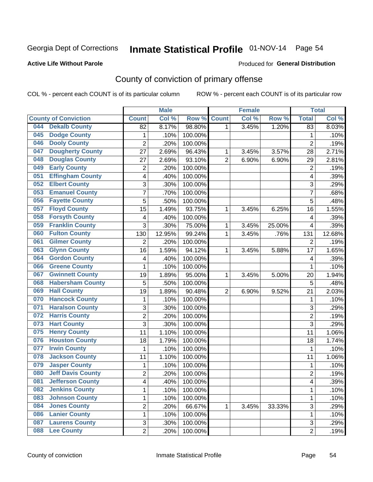# Inmate Statistical Profile 01-NOV-14 Page 54

### **Active Life Without Parole**

#### Produced for General Distribution

# County of conviction of primary offense

COL % - percent each COUNT is of its particular column

|     |                             |                | <b>Male</b> |         |                | <b>Female</b> |        |                | <b>Total</b> |
|-----|-----------------------------|----------------|-------------|---------|----------------|---------------|--------|----------------|--------------|
|     | <b>County of Conviction</b> | <b>Count</b>   | Col %       | Row %   | <b>Count</b>   | Col %         | Row %  | <b>Total</b>   | Col %        |
| 044 | <b>Dekalb County</b>        | 82             | 8.17%       | 98.80%  | 1              | 3.45%         | 1.20%  | 83             | 8.03%        |
| 045 | <b>Dodge County</b>         | $\mathbf{1}$   | .10%        | 100.00% |                |               |        | 1              | .10%         |
| 046 | <b>Dooly County</b>         | $\overline{2}$ | .20%        | 100.00% |                |               |        | $\overline{2}$ | .19%         |
| 047 | <b>Dougherty County</b>     | 27             | 2.69%       | 96.43%  | 1              | 3.45%         | 3.57%  | 28             | 2.71%        |
| 048 | <b>Douglas County</b>       | 27             | 2.69%       | 93.10%  | $\overline{2}$ | 6.90%         | 6.90%  | 29             | 2.81%        |
| 049 | <b>Early County</b>         | $\overline{2}$ | .20%        | 100.00% |                |               |        | $\overline{2}$ | .19%         |
| 051 | <b>Effingham County</b>     | 4              | .40%        | 100.00% |                |               |        | 4              | .39%         |
| 052 | <b>Elbert County</b>        | 3              | .30%        | 100.00% |                |               |        | 3              | .29%         |
| 053 | <b>Emanuel County</b>       | $\overline{7}$ | .70%        | 100.00% |                |               |        | 7              | .68%         |
| 056 | <b>Fayette County</b>       | 5              | .50%        | 100.00% |                |               |        | 5              | .48%         |
| 057 | <b>Floyd County</b>         | 15             | 1.49%       | 93.75%  | 1              | 3.45%         | 6.25%  | 16             | 1.55%        |
| 058 | <b>Forsyth County</b>       | 4              | .40%        | 100.00% |                |               |        | 4              | .39%         |
| 059 | <b>Franklin County</b>      | 3              | .30%        | 75.00%  | 1              | 3.45%         | 25.00% | 4              | .39%         |
| 060 | <b>Fulton County</b>        | 130            | 12.95%      | 99.24%  | 1              | 3.45%         | .76%   | 131            | 12.68%       |
| 061 | <b>Gilmer County</b>        | $\overline{2}$ | .20%        | 100.00% |                |               |        | $\overline{2}$ | .19%         |
| 063 | <b>Glynn County</b>         | 16             | 1.59%       | 94.12%  | 1              | 3.45%         | 5.88%  | 17             | 1.65%        |
| 064 | <b>Gordon County</b>        | 4              | .40%        | 100.00% |                |               |        | 4              | .39%         |
| 066 | <b>Greene County</b>        | $\mathbf{1}$   | .10%        | 100.00% |                |               |        | $\mathbf{1}$   | .10%         |
| 067 | <b>Gwinnett County</b>      | 19             | 1.89%       | 95.00%  | 1              | 3.45%         | 5.00%  | 20             | 1.94%        |
| 068 | <b>Habersham County</b>     | 5              | .50%        | 100.00% |                |               |        | 5              | .48%         |
| 069 | <b>Hall County</b>          | 19             | 1.89%       | 90.48%  | $\overline{2}$ | 6.90%         | 9.52%  | 21             | 2.03%        |
| 070 | <b>Hancock County</b>       | 1              | .10%        | 100.00% |                |               |        | $\mathbf{1}$   | .10%         |
| 071 | <b>Haralson County</b>      | 3              | .30%        | 100.00% |                |               |        | 3              | .29%         |
| 072 | <b>Harris County</b>        | $\overline{c}$ | .20%        | 100.00% |                |               |        | $\overline{2}$ | .19%         |
| 073 | <b>Hart County</b>          | 3              | .30%        | 100.00% |                |               |        | 3              | .29%         |
| 075 | <b>Henry County</b>         | 11             | 1.10%       | 100.00% |                |               |        | 11             | 1.06%        |
| 076 | <b>Houston County</b>       | 18             | 1.79%       | 100.00% |                |               |        | 18             | 1.74%        |
| 077 | <b>Irwin County</b>         | 1              | .10%        | 100.00% |                |               |        | 1              | .10%         |
| 078 | <b>Jackson County</b>       | 11             | 1.10%       | 100.00% |                |               |        | 11             | 1.06%        |
| 079 | <b>Jasper County</b>        | 1              | .10%        | 100.00% |                |               |        | $\mathbf{1}$   | .10%         |
| 080 | <b>Jeff Davis County</b>    | $\overline{c}$ | .20%        | 100.00% |                |               |        | $\overline{2}$ | .19%         |
| 081 | <b>Jefferson County</b>     | 4              | .40%        | 100.00% |                |               |        | 4              | .39%         |
| 082 | <b>Jenkins County</b>       | 1              | .10%        | 100.00% |                |               |        | $\mathbf{1}$   | .10%         |
| 083 | <b>Johnson County</b>       | 1              | .10%        | 100.00% |                |               |        | $\mathbf{1}$   | .10%         |
| 084 | <b>Jones County</b>         | $\overline{2}$ | .20%        | 66.67%  | 1              | 3.45%         | 33.33% | $\overline{3}$ | .29%         |
| 086 | <b>Lanier County</b>        | 1              | .10%        | 100.00% |                |               |        | 1              | .10%         |
| 087 | <b>Laurens County</b>       | 3              | .30%        | 100.00% |                |               |        | 3              | .29%         |
| 088 | <b>Lee County</b>           | $\overline{2}$ | .20%        | 100.00% |                |               |        | $\overline{2}$ | .19%         |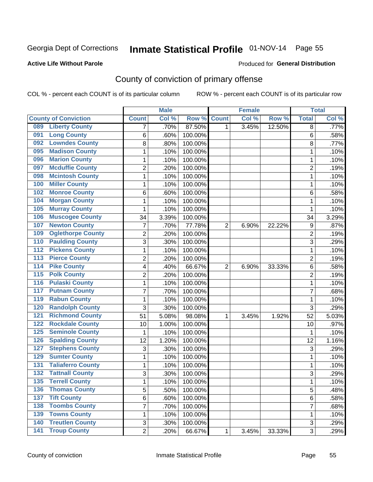# Inmate Statistical Profile 01-NOV-14 Page 55

### **Active Life Without Parole**

#### Produced for General Distribution

# County of conviction of primary offense

COL % - percent each COUNT is of its particular column

|                                         |                           | <b>Male</b> |         |                | <b>Female</b> |        |                | <b>Total</b> |
|-----------------------------------------|---------------------------|-------------|---------|----------------|---------------|--------|----------------|--------------|
| <b>County of Conviction</b>             | <b>Count</b>              | Col %       | Row %   | <b>Count</b>   | Col %         | Row %  | <b>Total</b>   | Col %        |
| <b>Liberty County</b><br>089            | 7                         | .70%        | 87.50%  | 1              | 3.45%         | 12.50% | 8              | .77%         |
| <b>Long County</b><br>091               | 6                         | .60%        | 100.00% |                |               |        | 6              | .58%         |
| <b>Lowndes County</b><br>092            | 8                         | .80%        | 100.00% |                |               |        | 8              | .77%         |
| <b>Madison County</b><br>095            | 1                         | .10%        | 100.00% |                |               |        | 1              | .10%         |
| <b>Marion County</b><br>096             | 1                         | .10%        | 100.00% |                |               |        | 1              | .10%         |
| <b>Mcduffie County</b><br>097           | $\overline{2}$            | .20%        | 100.00% |                |               |        | $\overline{2}$ | .19%         |
| <b>Mcintosh County</b><br>098           | 1                         | .10%        | 100.00% |                |               |        | 1              | .10%         |
| <b>Miller County</b><br>100             | 1                         | .10%        | 100.00% |                |               |        | 1              | .10%         |
| <b>Monroe County</b><br>102             | 6                         | .60%        | 100.00% |                |               |        | 6              | .58%         |
| <b>Morgan County</b><br>104             | $\mathbf{1}$              | .10%        | 100.00% |                |               |        | $\mathbf{1}$   | .10%         |
| <b>Murray County</b><br>105             | 1                         | .10%        | 100.00% |                |               |        | 1              | .10%         |
| <b>Muscogee County</b><br>106           | 34                        | 3.39%       | 100.00% |                |               |        | 34             | 3.29%        |
| <b>Newton County</b><br>107             | 7                         | .70%        | 77.78%  | $\overline{2}$ | 6.90%         | 22.22% | 9              | .87%         |
| <b>Oglethorpe County</b><br>109         | $\overline{2}$            | .20%        | 100.00% |                |               |        | $\overline{2}$ | .19%         |
| <b>Paulding County</b><br>110           | 3                         | .30%        | 100.00% |                |               |        | 3              | .29%         |
| <b>Pickens County</b><br>112            | 1                         | .10%        | 100.00% |                |               |        | $\mathbf{1}$   | .10%         |
| <b>Pierce County</b><br>113             | $\overline{c}$            | .20%        | 100.00% |                |               |        | $\overline{2}$ | .19%         |
| <b>Pike County</b><br>114               | 4                         | .40%        | 66.67%  | $\overline{2}$ | 6.90%         | 33.33% | 6              | .58%         |
| <b>Polk County</b><br>$\overline{115}$  | $\overline{c}$            | .20%        | 100.00% |                |               |        | $\overline{2}$ | .19%         |
| <b>Pulaski County</b><br>116            | $\mathbf 1$               | .10%        | 100.00% |                |               |        | 1              | .10%         |
| <b>Putnam County</b><br>117             | 7                         | .70%        | 100.00% |                |               |        | 7              | .68%         |
| <b>Rabun County</b><br>119              | $\mathbf{1}$              | .10%        | 100.00% |                |               |        | $\mathbf{1}$   | .10%         |
| <b>Randolph County</b><br>120           | 3                         | .30%        | 100.00% |                |               |        | 3              | .29%         |
| <b>Richmond County</b><br>121           | 51                        | 5.08%       | 98.08%  | 1              | 3.45%         | 1.92%  | 52             | 5.03%        |
| <b>Rockdale County</b><br>122           | 10                        | 1.00%       | 100.00% |                |               |        | 10             | .97%         |
| 125<br><b>Seminole County</b>           | $\mathbf{1}$              | .10%        | 100.00% |                |               |        | 1              | .10%         |
| <b>Spalding County</b><br>126           | 12                        | 1.20%       | 100.00% |                |               |        | 12             | 1.16%        |
| <b>Stephens County</b><br>127           | $\ensuremath{\mathsf{3}}$ | .30%        | 100.00% |                |               |        | $\mathsf 3$    | .29%         |
| <b>Sumter County</b><br>129             | $\mathbf{1}$              | .10%        | 100.00% |                |               |        | $\mathbf{1}$   | .10%         |
| <b>Taliaferro County</b><br>131         | $\mathbf{1}$              | .10%        | 100.00% |                |               |        | $\mathbf{1}$   | .10%         |
| <b>Tattnall County</b><br>132           | 3                         | .30%        | 100.00% |                |               |        | 3              | .29%         |
| $135$<br><b>Terrell County</b>          | 1                         | .10%        | 100.00% |                |               |        | 1              | .10%         |
| <b>Thomas County</b><br>136             | 5                         | .50%        | 100.00% |                |               |        | 5              | .48%         |
| $\overline{137}$<br><b>Tift County</b>  | 6                         | .60%        | 100.00% |                |               |        | 6              | .58%         |
| <b>Toombs County</b><br>138             | $\overline{7}$            | .70%        | 100.00% |                |               |        | $\overline{7}$ | .68%         |
| <b>Towns County</b><br>139              | $\mathbf{1}$              | .10%        | 100.00% |                |               |        | $\mathbf{1}$   | .10%         |
| <b>Treutlen County</b><br>140           | 3                         | .30%        | 100.00% |                |               |        | $\mathfrak{S}$ | .29%         |
| <b>Troup County</b><br>$\overline{141}$ | $\overline{2}$            | .20%        | 66.67%  | 1              | 3.45%         | 33.33% | 3              | .29%         |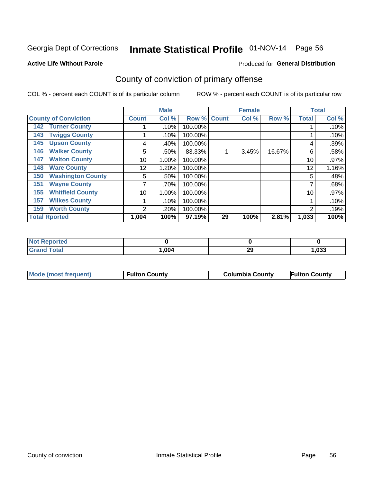# Inmate Statistical Profile 01-NOV-14 Page 56

#### **Active Life Without Parole**

#### Produced for General Distribution

# County of conviction of primary offense

COL % - percent each COUNT is of its particular column

|                                 |              | <b>Male</b> |         |              | <b>Female</b> |        |              | <b>Total</b> |
|---------------------------------|--------------|-------------|---------|--------------|---------------|--------|--------------|--------------|
| <b>County of Conviction</b>     | <b>Count</b> | Col %       | Row %   | <b>Count</b> | Col %         | Row %  | <b>Total</b> | Col %        |
| <b>Turner County</b><br>142     |              | .10%        | 100.00% |              |               |        |              | .10%         |
| <b>Twiggs County</b><br>143     |              | .10%        | 100.00% |              |               |        |              | $.10\%$      |
| <b>Upson County</b><br>145      | 4            | .40%        | 100.00% |              |               |        | 4            | .39%         |
| <b>Walker County</b><br>146     | 5            | .50%        | 83.33%  |              | 3.45%         | 16.67% | 6            | .58%         |
| <b>Walton County</b><br>147     | 10           | 1.00%       | 100.00% |              |               |        | 10           | $.97\%$      |
| <b>Ware County</b><br>148       | 12           | 1.20%       | 100.00% |              |               |        | 12           | 1.16%        |
| <b>Washington County</b><br>150 | 5            | .50%        | 100.00% |              |               |        | 5            | .48%         |
| <b>Wayne County</b><br>151      |              | .70%        | 100.00% |              |               |        | 7            | .68%         |
| <b>Whitfield County</b><br>155  | 10           | 1.00%       | 100.00% |              |               |        | 10           | .97%         |
| <b>Wilkes County</b><br>157     |              | .10%        | 100.00% |              |               |        |              | .10%         |
| <b>Worth County</b><br>159      | ົ            | .20%        | 100.00% |              |               |        | 2            | .19%         |
| <b>Total Rported</b>            | 1,004        | 100%        | 97.19%  | 29           | 100%          | 2.81%  | 1,033        | 100%         |

| reo.                       |      |           |      |
|----------------------------|------|-----------|------|
| $f \wedge f \wedge f$<br>. | .004 | nr.<br>73 | ,033 |

| Mode (most frequent)<br><b>Fulton County</b> | <b>Columbia County</b> | <b>Fulton County</b> |
|----------------------------------------------|------------------------|----------------------|
|----------------------------------------------|------------------------|----------------------|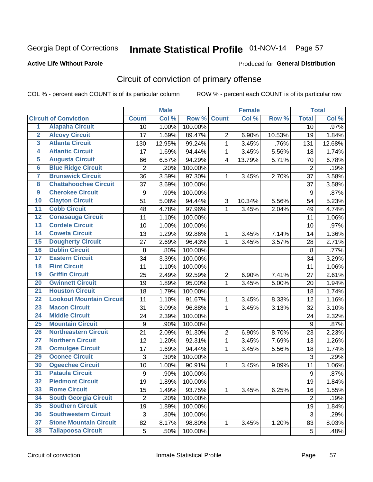# Inmate Statistical Profile 01-NOV-14 Page 57

### **Active Life Without Parole**

#### Produced for General Distribution

# Circuit of conviction of primary offense

COL % - percent each COUNT is of its particular column

|                         |                                 |                | <b>Male</b> |         |                         | <b>Female</b> |        |                  | <b>Total</b> |
|-------------------------|---------------------------------|----------------|-------------|---------|-------------------------|---------------|--------|------------------|--------------|
|                         | <b>Circuit of Conviction</b>    | <b>Count</b>   | Col %       | Row %   | <b>Count</b>            | Col %         | Row %  | <b>Total</b>     | Col %        |
| 1                       | <b>Alapaha Circuit</b>          | 10             | 1.00%       | 100.00% |                         |               |        | 10               | .97%         |
| $\overline{2}$          | <b>Alcovy Circuit</b>           | 17             | 1.69%       | 89.47%  | $\overline{2}$          | 6.90%         | 10.53% | 19               | 1.84%        |
| $\overline{\mathbf{3}}$ | <b>Atlanta Circuit</b>          | 130            | 12.95%      | 99.24%  | $\mathbf{1}$            | 3.45%         | .76%   | 131              | 12.68%       |
| 4                       | <b>Atlantic Circuit</b>         | 17             | 1.69%       | 94.44%  | 1                       | 3.45%         | 5.56%  | 18               | 1.74%        |
| $\overline{5}$          | <b>Augusta Circuit</b>          | 66             | 6.57%       | 94.29%  | $\overline{\mathbf{4}}$ | 13.79%        | 5.71%  | 70               | 6.78%        |
| $\overline{6}$          | <b>Blue Ridge Circuit</b>       | $\overline{2}$ | .20%        | 100.00% |                         |               |        | $\overline{2}$   | .19%         |
| 7                       | <b>Brunswick Circuit</b>        | 36             | 3.59%       | 97.30%  | 1                       | 3.45%         | 2.70%  | 37               | 3.58%        |
| $\overline{\mathbf{8}}$ | <b>Chattahoochee Circuit</b>    | 37             | 3.69%       | 100.00% |                         |               |        | 37               | 3.58%        |
| $\overline{9}$          | <b>Cherokee Circuit</b>         | 9              | .90%        | 100.00% |                         |               |        | 9                | .87%         |
| 10                      | <b>Clayton Circuit</b>          | 51             | 5.08%       | 94.44%  | 3                       | 10.34%        | 5.56%  | 54               | 5.23%        |
| $\overline{11}$         | <b>Cobb Circuit</b>             | 48             | 4.78%       | 97.96%  | $\mathbf{1}$            | 3.45%         | 2.04%  | 49               | 4.74%        |
| $\overline{12}$         | <b>Conasauga Circuit</b>        | 11             | 1.10%       | 100.00% |                         |               |        | 11               | 1.06%        |
| $\overline{13}$         | <b>Cordele Circuit</b>          | 10             | 1.00%       | 100.00% |                         |               |        | 10               | .97%         |
| $\overline{14}$         | <b>Coweta Circuit</b>           | 13             | 1.29%       | 92.86%  | $\mathbf{1}$            | 3.45%         | 7.14%  | 14               | 1.36%        |
| $\overline{15}$         | <b>Dougherty Circuit</b>        | 27             | 2.69%       | 96.43%  | 1                       | 3.45%         | 3.57%  | 28               | 2.71%        |
| 16                      | <b>Dublin Circuit</b>           | 8              | .80%        | 100.00% |                         |               |        | $\,8\,$          | .77%         |
| $\overline{17}$         | <b>Eastern Circuit</b>          | 34             | 3.39%       | 100.00% |                         |               |        | 34               | 3.29%        |
| 18                      | <b>Flint Circuit</b>            | 11             | 1.10%       | 100.00% |                         |               |        | 11               | 1.06%        |
| 19                      | <b>Griffin Circuit</b>          | 25             | 2.49%       | 92.59%  | $\overline{2}$          | 6.90%         | 7.41%  | 27               | 2.61%        |
| 20                      | <b>Gwinnett Circuit</b>         | 19             | 1.89%       | 95.00%  | 1                       | 3.45%         | 5.00%  | 20               | 1.94%        |
| $\overline{21}$         | <b>Houston Circuit</b>          | 18             | 1.79%       | 100.00% |                         |               |        | 18               | 1.74%        |
| $\overline{22}$         | <b>Lookout Mountain Circuit</b> | 11             | 1.10%       | 91.67%  | $\mathbf{1}$            | 3.45%         | 8.33%  | 12               | 1.16%        |
| 23                      | <b>Macon Circuit</b>            | 31             | 3.09%       | 96.88%  | 1                       | 3.45%         | 3.13%  | 32               | 3.10%        |
| $\overline{24}$         | <b>Middle Circuit</b>           | 24             | 2.39%       | 100.00% |                         |               |        | 24               | 2.32%        |
| $\overline{25}$         | <b>Mountain Circuit</b>         | 9              | .90%        | 100.00% |                         |               |        | 9                | .87%         |
| 26                      | <b>Northeastern Circuit</b>     | 21             | 2.09%       | 91.30%  | $\overline{2}$          | 6.90%         | 8.70%  | 23               | 2.23%        |
| $\overline{27}$         | <b>Northern Circuit</b>         | 12             | 1.20%       | 92.31%  | $\mathbf{1}$            | 3.45%         | 7.69%  | 13               | 1.26%        |
| 28                      | <b>Ocmulgee Circuit</b>         | 17             | 1.69%       | 94.44%  | 1                       | 3.45%         | 5.56%  | 18               | 1.74%        |
| 29                      | <b>Oconee Circuit</b>           | 3              | .30%        | 100.00% |                         |               |        | 3                | .29%         |
| 30                      | <b>Ogeechee Circuit</b>         | 10             | 1.00%       | 90.91%  | 1                       | 3.45%         | 9.09%  | 11               | 1.06%        |
| $\overline{31}$         | <b>Pataula Circuit</b>          | 9              | .90%        | 100.00% |                         |               |        | $\boldsymbol{9}$ | .87%         |
| 32                      | <b>Piedmont Circuit</b>         | 19             | 1.89%       | 100.00% |                         |               |        | 19               | 1.84%        |
| 33                      | <b>Rome Circuit</b>             | 15             | 1.49%       | 93.75%  | $\mathbf{1}$            | 3.45%         | 6.25%  | 16               | 1.55%        |
| 34                      | <b>South Georgia Circuit</b>    | $\overline{2}$ | .20%        | 100.00% |                         |               |        | $\overline{2}$   | .19%         |
| 35                      | <b>Southern Circuit</b>         | 19             | 1.89%       | 100.00% |                         |               |        | 19               | 1.84%        |
| 36                      | <b>Southwestern Circuit</b>     | 3              | .30%        | 100.00% |                         |               |        | 3                | .29%         |
| 37                      | <b>Stone Mountain Circuit</b>   | 82             | 8.17%       | 98.80%  | 1                       | 3.45%         | 1.20%  | 83               | 8.03%        |
| 38                      | <b>Tallapoosa Circuit</b>       | 5              | .50%        | 100.00% |                         |               |        | 5                | .48%         |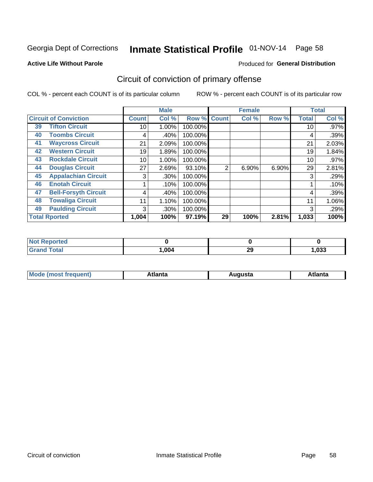# Inmate Statistical Profile 01-NOV-14 Page 58

#### **Active Life Without Parole**

### Produced for General Distribution

# Circuit of conviction of primary offense

COL % - percent each COUNT is of its particular column

|    |                              |              | <b>Male</b> |                |                | <b>Female</b> |       |              | <b>Total</b> |
|----|------------------------------|--------------|-------------|----------------|----------------|---------------|-------|--------------|--------------|
|    | <b>Circuit of Conviction</b> | <b>Count</b> | Col %       | Row $\sqrt{6}$ | <b>Count</b>   | Col %         | Row % | <b>Total</b> | Col %        |
| 39 | <b>Tifton Circuit</b>        | 10           | 1.00%       | 100.00%        |                |               |       | 10           | $.97\%$      |
| 40 | <b>Toombs Circuit</b>        | 4            | .40%        | 100.00%        |                |               |       | 4            | .39%         |
| 41 | <b>Waycross Circuit</b>      | 21           | 2.09%       | 100.00%        |                |               |       | 21           | 2.03%        |
| 42 | <b>Western Circuit</b>       | 19           | 1.89%       | 100.00%        |                |               |       | 19           | 1.84%        |
| 43 | <b>Rockdale Circuit</b>      | 10           | 1.00%       | 100.00%        |                |               |       | 10           | $.97\%$      |
| 44 | <b>Douglas Circuit</b>       | 27           | 2.69%       | 93.10%         | $\overline{2}$ | 6.90%         | 6.90% | 29           | 2.81%        |
| 45 | <b>Appalachian Circuit</b>   | 3            | $.30\%$     | 100.00%        |                |               |       | 3            | .29%         |
| 46 | <b>Enotah Circuit</b>        |              | .10%        | 100.00%        |                |               |       |              | .10%         |
| 47 | <b>Bell-Forsyth Circuit</b>  | 4            | .40%        | 100.00%        |                |               |       | 4            | .39%         |
| 48 | <b>Towaliga Circuit</b>      | 11           | 1.10%       | 100.00%        |                |               |       | 11           | 1.06%        |
| 49 | <b>Paulding Circuit</b>      | 3            | $.30\%$     | 100.00%        |                |               |       | 3            | .29%         |
|    | <b>Total Rported</b>         | 1,004        | 100%        | 97.19%         | 29             | 100%          | 2.81% | 1,033        | 100%         |

| τeα                |      |    |       |
|--------------------|------|----|-------|
| <b>otal</b><br>--- | .004 | 29 | 1,033 |

| М<br>. In n tr<br>.<br>.<br>wanta<br>Πū<br>31.<br>$\sim$ $\sim$ $\sim$ |
|------------------------------------------------------------------------|
|------------------------------------------------------------------------|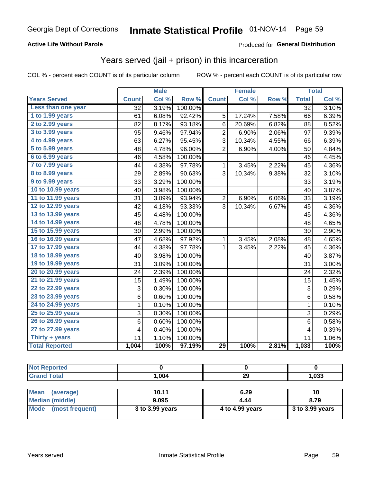### **Active Life Without Parole**

### Produced for General Distribution

### Years served (jail + prison) in this incarceration

COL % - percent each COUNT is of its particular column

|                       |              | <b>Male</b> |         |                 | <b>Female</b> |       |              | <b>Total</b> |
|-----------------------|--------------|-------------|---------|-----------------|---------------|-------|--------------|--------------|
| <b>Years Served</b>   | <b>Count</b> | Col %       | Row %   | <b>Count</b>    | Col %         | Row % | <b>Total</b> | Col%         |
| Less than one year    | 32           | 3.19%       | 100.00% |                 |               |       | 32           | 3.10%        |
| 1 to 1.99 years       | 61           | 6.08%       | 92.42%  | 5               | 17.24%        | 7.58% | 66           | 6.39%        |
| 2 to 2.99 years       | 82           | 8.17%       | 93.18%  | 6               | 20.69%        | 6.82% | 88           | 8.52%        |
| 3 to 3.99 years       | 95           | 9.46%       | 97.94%  | $\overline{2}$  | 6.90%         | 2.06% | 97           | 9.39%        |
| 4 to 4.99 years       | 63           | 6.27%       | 95.45%  | $\overline{3}$  | 10.34%        | 4.55% | 66           | 6.39%        |
| 5 to 5.99 years       | 48           | 4.78%       | 96.00%  | $\overline{2}$  | 6.90%         | 4.00% | 50           | 4.84%        |
| 6 to 6.99 years       | 46           | 4.58%       | 100.00% |                 |               |       | 46           | 4.45%        |
| 7 to 7.99 years       | 44           | 4.38%       | 97.78%  | $\mathbf{1}$    | 3.45%         | 2.22% | 45           | 4.36%        |
| 8 to 8.99 years       | 29           | 2.89%       | 90.63%  | 3               | 10.34%        | 9.38% | 32           | 3.10%        |
| 9 to 9.99 years       | 33           | 3.29%       | 100.00% |                 |               |       | 33           | 3.19%        |
| 10 to 10.99 years     | 40           | 3.98%       | 100.00% |                 |               |       | 40           | 3.87%        |
| 11 to 11.99 years     | 31           | 3.09%       | 93.94%  | $\overline{2}$  | 6.90%         | 6.06% | 33           | 3.19%        |
| 12 to 12.99 years     | 42           | 4.18%       | 93.33%  | 3               | 10.34%        | 6.67% | 45           | 4.36%        |
| 13 to 13.99 years     | 45           | 4.48%       | 100.00% |                 |               |       | 45           | 4.36%        |
| 14 to 14.99 years     | 48           | 4.78%       | 100.00% |                 |               |       | 48           | 4.65%        |
| 15 to 15.99 years     | 30           | 2.99%       | 100.00% |                 |               |       | 30           | 2.90%        |
| 16 to 16.99 years     | 47           | 4.68%       | 97.92%  | $\mathbf{1}$    | 3.45%         | 2.08% | 48           | 4.65%        |
| 17 to 17.99 years     | 44           | 4.38%       | 97.78%  | $\mathbf{1}$    | 3.45%         | 2.22% | 45           | 4.36%        |
| 18 to 18.99 years     | 40           | 3.98%       | 100.00% |                 |               |       | 40           | 3.87%        |
| 19 to 19.99 years     | 31           | 3.09%       | 100.00% |                 |               |       | 31           | 3.00%        |
| 20 to 20.99 years     | 24           | 2.39%       | 100.00% |                 |               |       | 24           | 2.32%        |
| 21 to 21.99 years     | 15           | 1.49%       | 100.00% |                 |               |       | 15           | 1.45%        |
| 22 to 22.99 years     | 3            | 0.30%       | 100.00% |                 |               |       | 3            | 0.29%        |
| 23 to 23.99 years     | 6            | 0.60%       | 100.00% |                 |               |       | 6            | 0.58%        |
| 24 to 24.99 years     | $\mathbf{1}$ | 0.10%       | 100.00% |                 |               |       | $\mathbf 1$  | 0.10%        |
| 25 to 25.99 years     | 3            | 0.30%       | 100.00% |                 |               |       | 3            | 0.29%        |
| 26 to 26.99 years     | 6            | 0.60%       | 100.00% |                 |               |       | 6            | 0.58%        |
| 27 to 27.99 years     | 4            | 0.40%       | 100.00% |                 |               |       | 4            | 0.39%        |
| Thirty + years        | 11           | 1.10%       | 100.00% |                 |               |       | 11           | 1.06%        |
| <b>Total Reported</b> | 1,004        | 100%        | 97.19%  | $\overline{29}$ | 100%          | 2.81% | 1,033        | 100%         |

| <b>Not Reported</b>      |                 |                 |                 |  |  |
|--------------------------|-----------------|-----------------|-----------------|--|--|
| <b>Grand Total</b>       | 1.004           | 29              | 1,033           |  |  |
|                          |                 |                 |                 |  |  |
| <b>Mean</b><br>(average) | 10.11           | 6.29            | 10              |  |  |
| <b>Median (middle)</b>   | 9.095           | 4.44            | 8.79            |  |  |
| Mode<br>(most frequent)  | 3 to 3.99 years | 4 to 4.99 years | 3 to 3.99 years |  |  |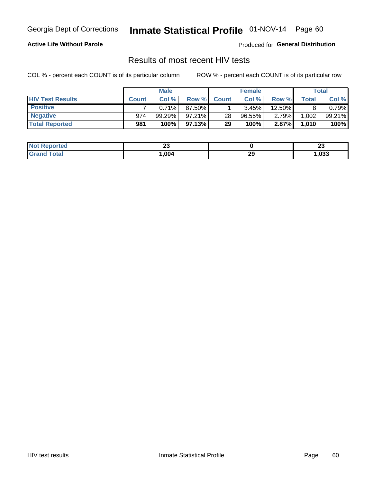# Inmate Statistical Profile 01-NOV-14 Page 60

### **Active Life Without Parole**

Produced for General Distribution

### Results of most recent HIV tests

COL % - percent each COUNT is of its particular column

|                         |              | <b>Male</b> |           |              | <b>Female</b> |        |       | Total  |
|-------------------------|--------------|-------------|-----------|--------------|---------------|--------|-------|--------|
| <b>HIV Test Results</b> | <b>Count</b> | Col%        | Row %     | <b>Count</b> | Col %         | Row %  | Total | Col %  |
| <b>Positive</b>         |              | 0.71%       | 87.50%    |              | 3.45%         | 12.50% |       | 0.79%  |
| <b>Negative</b>         | 974          | 99.29%      | $97.21\%$ | 28           | $96.55\%$     | 2.79%  | 1,002 | 99.21% |
| <b>Total Reported</b>   | 981          | 100%        | 97.13%    | 29           | 100%          | 2.87%  | 1,010 | 100%   |

| <b>Not Reported</b> | <u>_</u> |         | …<br><u>_</u> |
|---------------------|----------|---------|---------------|
| Total               | .004     | つ<br>23 | 1,033         |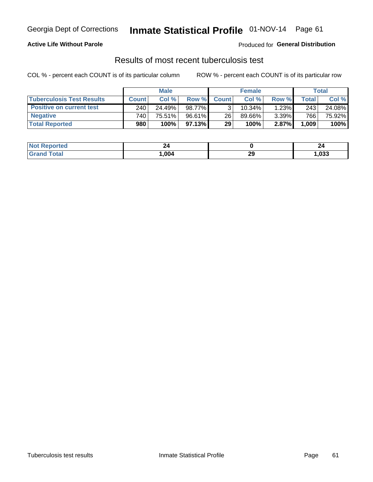# Georgia Dept of Corrections **Inmate Statistical Profile** 01-NOV-14 Page 61

### **Active Life Without Parole**

Produced for **General Distribution**

### Results of most recent tuberculosis test

|                                  |              | <b>Male</b> |           |              | <b>Female</b> |       |       | Total  |
|----------------------------------|--------------|-------------|-----------|--------------|---------------|-------|-------|--------|
| <b>Tuberculosis Test Results</b> | <b>Count</b> | Col%        | Row %I    | <b>Count</b> | Col%          | Row % | Total | Col %  |
| <b>Positive on current test</b>  | 240          | 24.49%      | 98.77%    |              | 10.34%        | 1.23% | 243   | 24.08% |
| <b>Negative</b>                  | 740          | 75.51%      | $96.61\%$ | 26           | 89.66%        | 3.39% | 766   | 75.92% |
| <b>Total Reported</b>            | 980          | 100%        | 97.13%    | 29           | 100%          | 2.87% | 1,009 | 100%   |

| Reported<br>I NOT       | 44   |    |      |
|-------------------------|------|----|------|
| <b>cotal</b><br>$G$ ren | .004 | 29 | ,033 |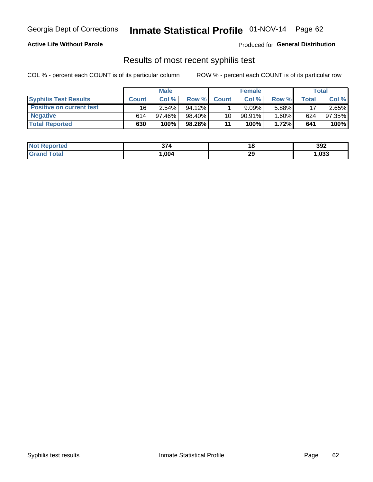# Georgia Dept of Corrections **Inmate Statistical Profile** 01-NOV-14 Page 62

### **Active Life Without Parole**

Produced for **General Distribution**

### Results of most recent syphilis test

|                                 |              | <b>Male</b> |           |              | <b>Female</b> |          |         | Total  |
|---------------------------------|--------------|-------------|-----------|--------------|---------------|----------|---------|--------|
| <b>Syphilis Test Results</b>    | <b>Count</b> | Col%        | Row %     | <b>Count</b> | Col %         | Row %I   | Total i | Col %  |
| <b>Positive on current test</b> | 16           | $2.54\%$    | $94.12\%$ |              | 9.09%         | 5.88%    | 17      | 2.65%  |
| <b>Negative</b>                 | 614          | $97.46\%$   | 98.40%    | 10           | $90.91\%$     | $1.60\%$ | 624     | 97.35% |
| <b>Total Reported</b>           | 630          | 100%        | 98.28%    | 11           | 100%          | 1.72%    | 641     | 100%   |

| <b>Not Reported</b> | 57.  | 40 | 392  |
|---------------------|------|----|------|
| <b>Grand Total</b>  | .004 | 29 | ,033 |